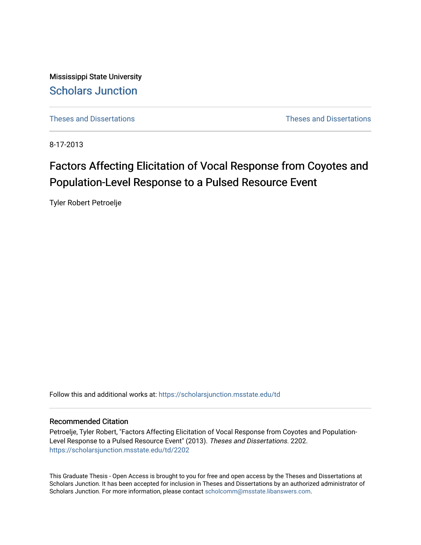Mississippi State University [Scholars Junction](https://scholarsjunction.msstate.edu/) 

[Theses and Dissertations](https://scholarsjunction.msstate.edu/td) [Theses and Dissertations](https://scholarsjunction.msstate.edu/theses-dissertations) 

8-17-2013

# Factors Affecting Elicitation of Vocal Response from Coyotes and Population-Level Response to a Pulsed Resource Event

Tyler Robert Petroelje

Follow this and additional works at: [https://scholarsjunction.msstate.edu/td](https://scholarsjunction.msstate.edu/td?utm_source=scholarsjunction.msstate.edu%2Ftd%2F2202&utm_medium=PDF&utm_campaign=PDFCoverPages) 

# Recommended Citation

Petroelje, Tyler Robert, "Factors Affecting Elicitation of Vocal Response from Coyotes and Population-Level Response to a Pulsed Resource Event" (2013). Theses and Dissertations. 2202. [https://scholarsjunction.msstate.edu/td/2202](https://scholarsjunction.msstate.edu/td/2202?utm_source=scholarsjunction.msstate.edu%2Ftd%2F2202&utm_medium=PDF&utm_campaign=PDFCoverPages) 

This Graduate Thesis - Open Access is brought to you for free and open access by the Theses and Dissertations at Scholars Junction. It has been accepted for inclusion in Theses and Dissertations by an authorized administrator of Scholars Junction. For more information, please contact [scholcomm@msstate.libanswers.com.](mailto:scholcomm@msstate.libanswers.com)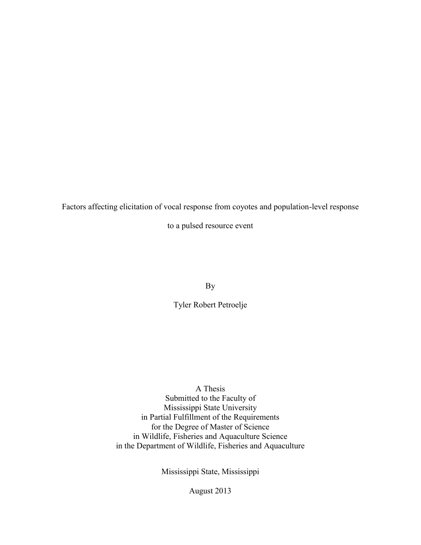Factors affecting elicitation of vocal response from coyotes and population-level response

to a pulsed resource event

By

Tyler Robert Petroelje

# A Thesis

 Submitted to the Faculty of Mississippi State University in Partial Fulfillment of the Requirements for the Degree of Master of Science in Wildlife, Fisheries and Aquaculture Science in the Department of Wildlife, Fisheries and Aquaculture

Mississippi State, Mississippi

August 2013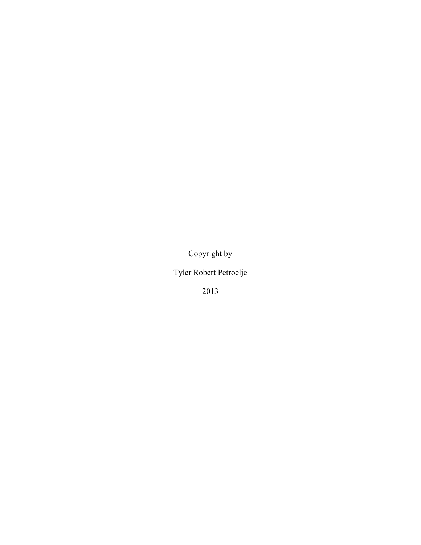Copyright by

Tyler Robert Petroelje

2013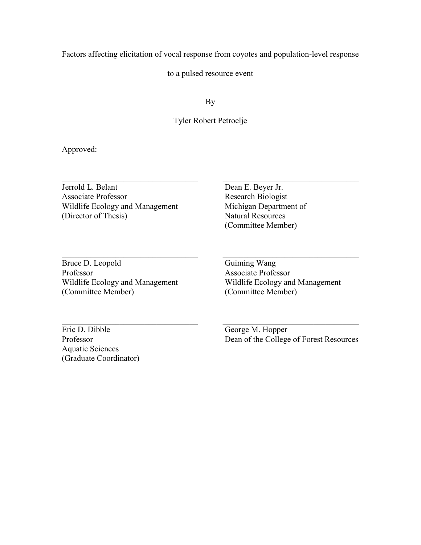Factors affecting elicitation of vocal response from coyotes and population-level response

to a pulsed resource event

By

# Tyler Robert Petroelje

 $\_$  , and the set of the set of the set of the set of the set of the set of the set of the set of the set of the set of the set of the set of the set of the set of the set of the set of the set of the set of the set of th

 $\_$  , and the set of the set of the set of the set of the set of the set of the set of the set of the set of the set of the set of the set of the set of the set of the set of the set of the set of the set of the set of th

Approved:

Jerrold L. Belant Dean E. Beyer Jr.<br>Associate Professor Research Biologist Associate Professor Wildlife Ecology and Management (Director of Thesis) Natural Resources

Michigan Department of (Committee Member)

Professor Associate Professor  $\_$  , and the set of the set of the set of the set of the set of the set of the set of the set of the set of the set of the set of the set of the set of the set of the set of the set of the set of the set of the set of th Bruce D. Leopold Guiming Wang (Committee Member) (Committee Member)

Wildlife Ecology and Management<br>
(Committee Member) (Committee Member)

Eric D. Dibble George M. Hopper Aquatic Sciences (Graduate Coordinator)

Professor Dean of the College of Forest Resources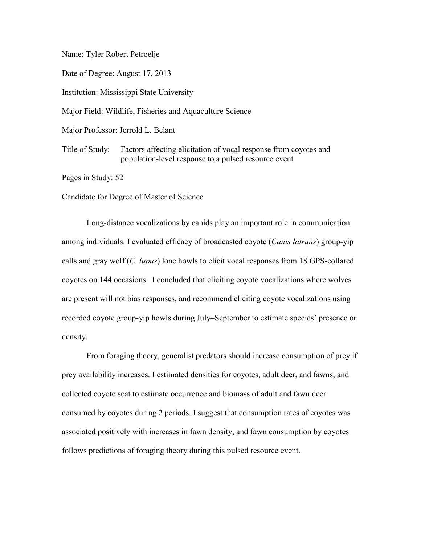Name: Tyler Robert Petroelje

Date of Degree: August 17, 2013

Institution: Mississippi State University

Major Field: Wildlife, Fisheries and Aquaculture Science

Major Professor: Jerrold L. Belant

 population-level response to a pulsed resource event Title of Study: Factors affecting elicitation of vocal response from coyotes and

Pages in Study: 52

Candidate for Degree of Master of Science

 among individuals. I evaluated efficacy of broadcasted coyote (*Canis latrans*) group-yip Long-distance vocalizations by canids play an important role in communication calls and gray wolf (*C. lupus*) lone howls to elicit vocal responses from 18 GPS-collared coyotes on 144 occasions. I concluded that eliciting coyote vocalizations where wolves are present will not bias responses, and recommend eliciting coyote vocalizations using recorded coyote group-yip howls during July–September to estimate species' presence or density.

 prey availability increases. I estimated densities for coyotes, adult deer, and fawns, and From foraging theory, generalist predators should increase consumption of prey if collected coyote scat to estimate occurrence and biomass of adult and fawn deer consumed by coyotes during 2 periods. I suggest that consumption rates of coyotes was associated positively with increases in fawn density, and fawn consumption by coyotes follows predictions of foraging theory during this pulsed resource event.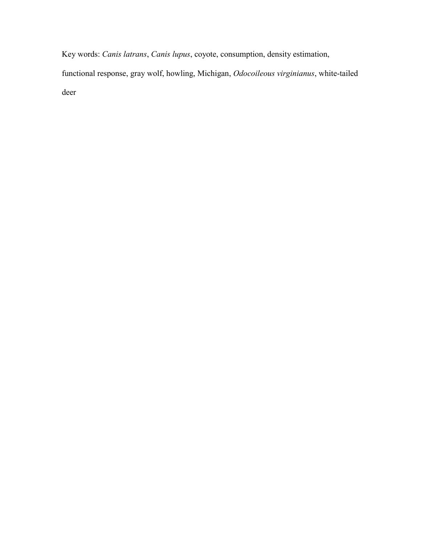Key words: *Canis latrans*, *Canis lupus*, coyote, consumption, density estimation,

functional response, gray wolf, howling, Michigan, *Odocoileous virginianus*, white-tailed deer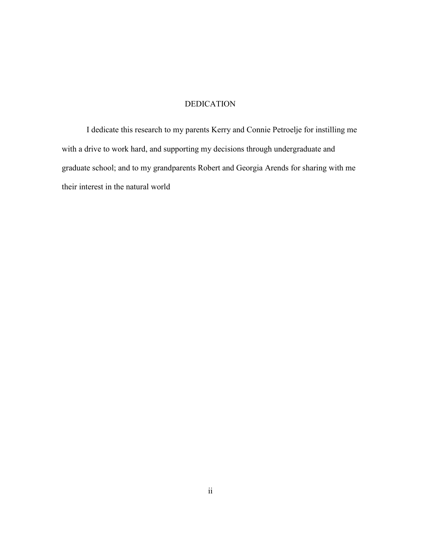# DEDICATION

<span id="page-6-0"></span> graduate school; and to my grandparents Robert and Georgia Arends for sharing with me I dedicate this research to my parents Kerry and Connie Petroelje for instilling me with a drive to work hard, and supporting my decisions through undergraduate and their interest in the natural world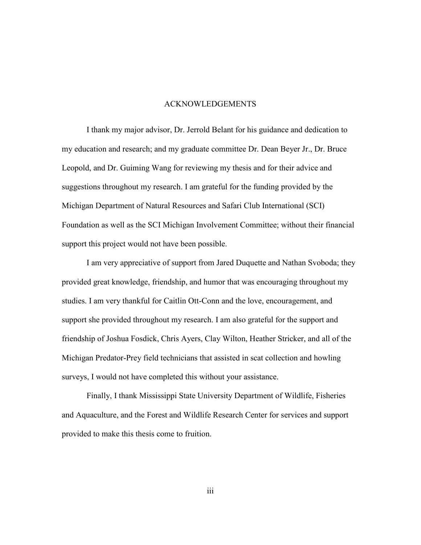## ACKNOWLEDGEMENTS

<span id="page-7-0"></span>I thank my major advisor, Dr. Jerrold Belant for his guidance and dedication to my education and research; and my graduate committee Dr. Dean Beyer Jr., Dr. Bruce Leopold, and Dr. Guiming Wang for reviewing my thesis and for their advice and suggestions throughout my research. I am grateful for the funding provided by the Michigan Department of Natural Resources and Safari Club International (SCI) Foundation as well as the SCI Michigan Involvement Committee; without their financial support this project would not have been possible.

 I am very appreciative of support from Jared Duquette and Nathan Svoboda; they provided great knowledge, friendship, and humor that was encouraging throughout my studies. I am very thankful for Caitlin Ott-Conn and the love, encouragement, and support she provided throughout my research. I am also grateful for the support and friendship of Joshua Fosdick, Chris Ayers, Clay Wilton, Heather Stricker, and all of the Michigan Predator-Prey field technicians that assisted in scat collection and howling surveys, I would not have completed this without your assistance.

Finally, I thank Mississippi State University Department of Wildlife, Fisheries and Aquaculture, and the Forest and Wildlife Research Center for services and support provided to make this thesis come to fruition.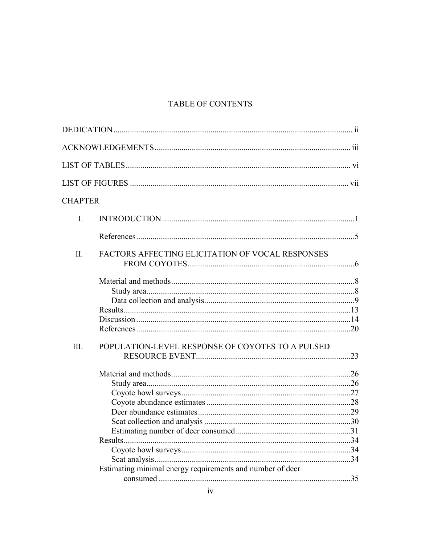# **TABLE OF CONTENTS**

| <b>CHAPTER</b> |                                                           |  |
|----------------|-----------------------------------------------------------|--|
| $\mathbf{I}$ . |                                                           |  |
|                |                                                           |  |
| II.            | FACTORS AFFECTING ELICITATION OF VOCAL RESPONSES          |  |
|                |                                                           |  |
|                |                                                           |  |
| Ш.             | POPULATION-LEVEL RESPONSE OF COYOTES TO A PULSED          |  |
|                |                                                           |  |
|                |                                                           |  |
|                |                                                           |  |
|                | Estimating minimal energy requirements and number of deer |  |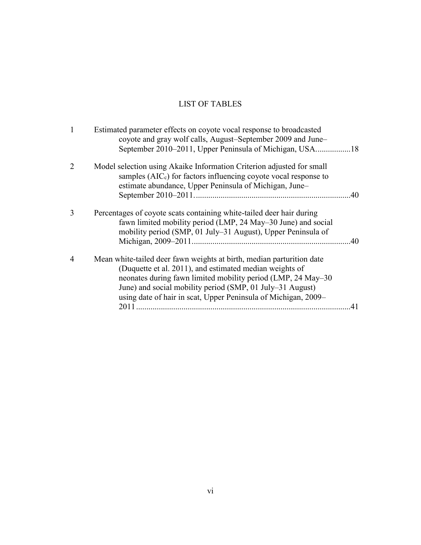# LIST OF TABLES

<span id="page-10-0"></span>

| 1 | Estimated parameter effects on coyote vocal response to broadcasted<br>coyote and gray wolf calls, August–September 2009 and June–                                                                                                                                                                                               |  |
|---|----------------------------------------------------------------------------------------------------------------------------------------------------------------------------------------------------------------------------------------------------------------------------------------------------------------------------------|--|
| 2 | Model selection using Akaike Information Criterion adjusted for small<br>samples $(AICc)$ for factors influencing coyote vocal response to<br>estimate abundance, Upper Peninsula of Michigan, June-<br>.40                                                                                                                      |  |
| 3 | Percentages of coyote scats containing white-tailed deer hair during<br>fawn limited mobility period (LMP, 24 May–30 June) and social<br>mobility period (SMP, 01 July-31 August), Upper Peninsula of<br>40                                                                                                                      |  |
| 4 | Mean white-tailed deer fawn weights at birth, median parturition date<br>(Duquette et al. 2011), and estimated median weights of<br>neonates during fawn limited mobility period (LMP, 24 May–30)<br>June) and social mobility period (SMP, 01 July–31 August)<br>using date of hair in scat, Upper Peninsula of Michigan, 2009– |  |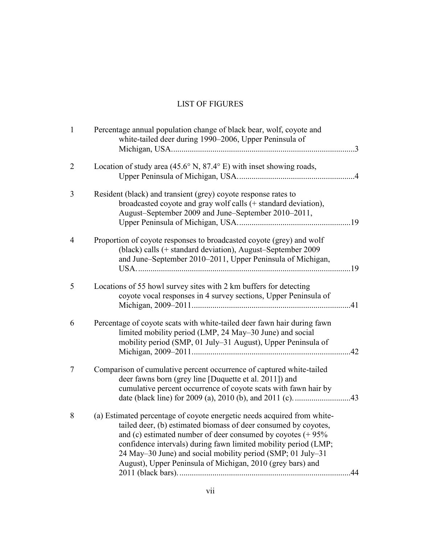# LIST OF FIGURES

<span id="page-11-0"></span>

| $\mathbf{1}$   | Percentage annual population change of black bear, wolf, coyote and<br>white-tailed deer during 1990–2006, Upper Peninsula of                                                                                                                                                                                                                                                                                |     |
|----------------|--------------------------------------------------------------------------------------------------------------------------------------------------------------------------------------------------------------------------------------------------------------------------------------------------------------------------------------------------------------------------------------------------------------|-----|
| $\overline{2}$ | Location of study area (45.6 $\degree$ N, 87.4 $\degree$ E) with inset showing roads,                                                                                                                                                                                                                                                                                                                        |     |
| 3              | Resident (black) and transient (grey) coyote response rates to<br>broadcasted coyote and gray wolf calls (+ standard deviation),<br>August-September 2009 and June-September 2010-2011,                                                                                                                                                                                                                      |     |
| $\overline{4}$ | Proportion of coyote responses to broadcasted coyote (grey) and wolf<br>(black) calls (+ standard deviation), August–September 2009<br>and June–September 2010–2011, Upper Peninsula of Michigan,                                                                                                                                                                                                            |     |
| 5              | Locations of 55 howl survey sites with 2 km buffers for detecting<br>coyote vocal responses in 4 survey sections, Upper Peninsula of                                                                                                                                                                                                                                                                         |     |
| 6              | Percentage of coyote scats with white-tailed deer fawn hair during fawn<br>limited mobility period (LMP, 24 May–30 June) and social<br>mobility period (SMP, 01 July-31 August), Upper Peninsula of                                                                                                                                                                                                          | .42 |
| 7              | Comparison of cumulative percent occurrence of captured white-tailed<br>deer fawns born (grey line [Duquette et al. 2011]) and<br>cumulative percent occurrence of coyote scats with fawn hair by                                                                                                                                                                                                            |     |
| 8              | (a) Estimated percentage of coyote energetic needs acquired from white-<br>tailed deer, (b) estimated biomass of deer consumed by coyotes,<br>and (c) estimated number of deer consumed by coyotes $(+ 95\%$<br>confidence intervals) during fawn limited mobility period (LMP;<br>24 May–30 June) and social mobility period (SMP; 01 July–31<br>August), Upper Peninsula of Michigan, 2010 (grey bars) and | .44 |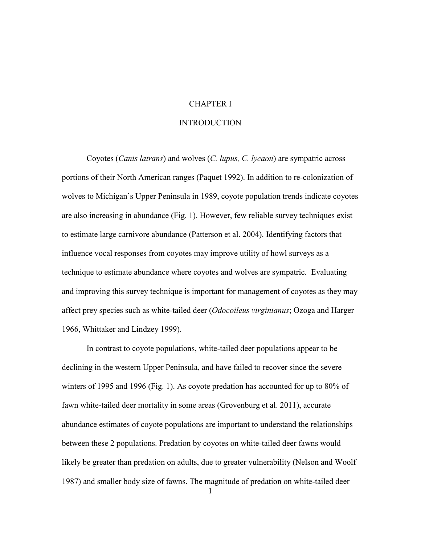# CHAPTER I

# INTRODUCTION

<span id="page-12-1"></span><span id="page-12-0"></span> technique to estimate abundance where coyotes and wolves are sympatric. Evaluating Coyotes (*Canis latrans*) and wolves (*C. lupus, C. lycaon*) are sympatric across portions of their North American ranges (Paquet 1992). In addition to re-colonization of wolves to Michigan's Upper Peninsula in 1989, coyote population trends indicate coyotes are also increasing in abundance (Fig. 1). However, few reliable survey techniques exist to estimate large carnivore abundance (Patterson et al. 2004). Identifying factors that influence vocal responses from coyotes may improve utility of howl surveys as a and improving this survey technique is important for management of coyotes as they may affect prey species such as white-tailed deer (*Odocoileus virginianus*; Ozoga and Harger 1966, Whittaker and Lindzey 1999).

In contrast to coyote populations, white-tailed deer populations appear to be declining in the western Upper Peninsula, and have failed to recover since the severe winters of 1995 and 1996 (Fig. 1). As coyote predation has accounted for up to 80% of fawn white-tailed deer mortality in some areas (Grovenburg et al. 2011), accurate abundance estimates of coyote populations are important to understand the relationships between these 2 populations. Predation by coyotes on white-tailed deer fawns would likely be greater than predation on adults, due to greater vulnerability (Nelson and Woolf 1987) and smaller body size of fawns. The magnitude of predation on white-tailed deer

1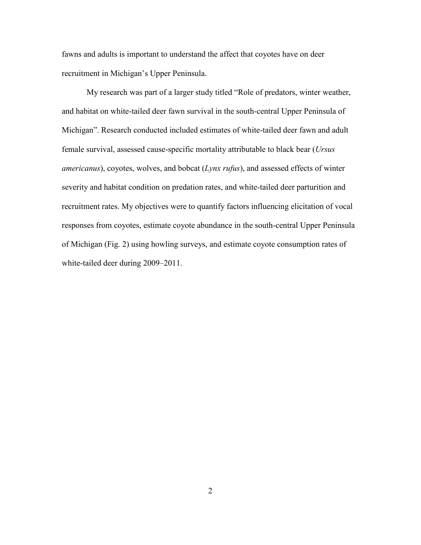fawns and adults is important to understand the affect that coyotes have on deer recruitment in Michigan's Upper Peninsula.

My research was part of a larger study titled "Role of predators, winter weather, and habitat on white-tailed deer fawn survival in the south-central Upper Peninsula of Michigan". Research conducted included estimates of white-tailed deer fawn and adult female survival, assessed cause-specific mortality attributable to black bear (*Ursus americanus*), coyotes, wolves, and bobcat (*Lynx rufus*), and assessed effects of winter severity and habitat condition on predation rates, and white-tailed deer parturition and recruitment rates. My objectives were to quantify factors influencing elicitation of vocal responses from coyotes, estimate coyote abundance in the south-central Upper Peninsula of Michigan (Fig. 2) using howling surveys, and estimate coyote consumption rates of white-tailed deer during 2009–2011.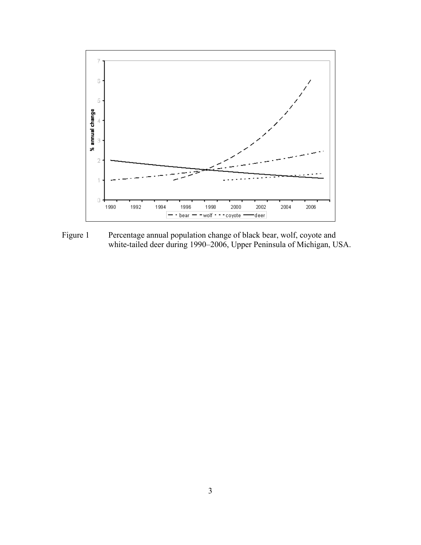

<span id="page-14-0"></span>Figure 1 Percentage annual population change of black bear, wolf, coyote and white-tailed deer during 1990–2006, Upper Peninsula of Michigan, USA.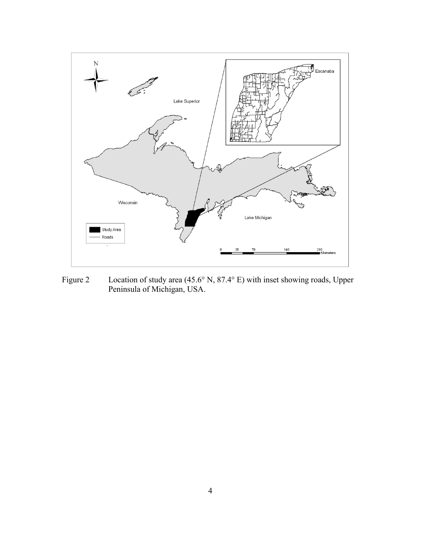

<span id="page-15-0"></span>Figure 2 Location of study area (45.6° N, 87.4° E) with inset showing roads, Upper Peninsula of Michigan, USA.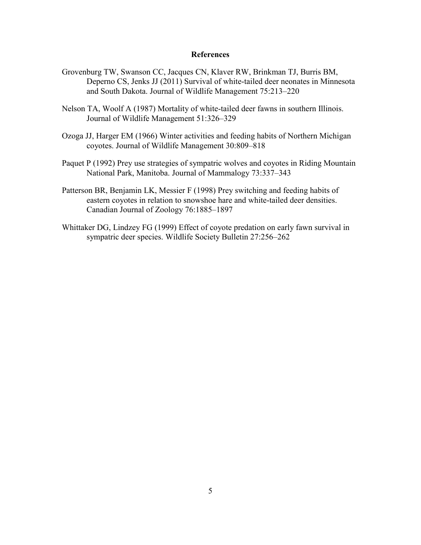## **References**

- <span id="page-16-0"></span>Grovenburg TW, Swanson CC, Jacques CN, Klaver RW, Brinkman TJ, Burris BM, Deperno CS, Jenks JJ (2011) Survival of white-tailed deer neonates in Minnesota and South Dakota. Journal of Wildlife Management 75:213–220
- Nelson TA, Woolf A (1987) Mortality of white-tailed deer fawns in southern Illinois. Journal of Wildlife Management 51:326–329
- Ozoga JJ, Harger EM (1966) Winter activities and feeding habits of Northern Michigan coyotes. Journal of Wildlife Management 30:809–818
- Paquet P (1992) Prey use strategies of sympatric wolves and coyotes in Riding Mountain National Park, Manitoba. Journal of Mammalogy 73:337–343
- Patterson BR, Benjamin LK, Messier F (1998) Prey switching and feeding habits of eastern coyotes in relation to snowshoe hare and white-tailed deer densities. Canadian Journal of Zoology 76:1885–1897
- Whittaker DG, Lindzey FG (1999) Effect of coyote predation on early fawn survival in sympatric deer species. Wildlife Society Bulletin 27:256–262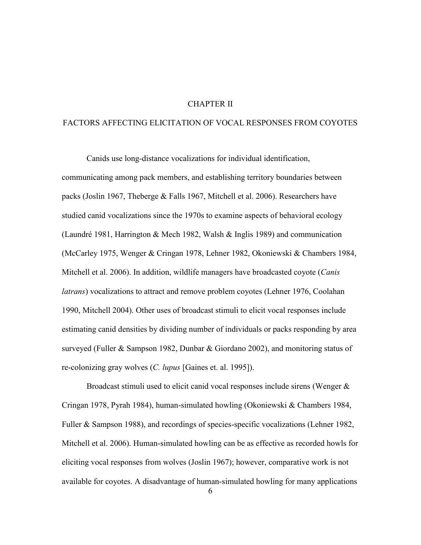# CHAPTER II

# <span id="page-17-0"></span>FACTORS AFFECTING ELICITATION OF VOCAL RESPONSES FROM COYOTES

Canids use long-distance vocalizations for individual identification, communicating among pack members, and establishing territory boundaries between packs (Joslin 1967, Theberge & Falls 1967, Mitchell et al. 2006). Researchers have studied canid vocalizations since the 1970s to examine aspects of behavioral ecology (Laundré 1981, Harrington & Mech 1982, Walsh & Inglis 1989) and communication (McCarley 1975, Wenger & Cringan 1978, Lehner 1982, Okoniewski & Chambers 1984, Mitchell et al. 2006). In addition, wildlife managers have broadcasted coyote (*Canis latrans*) vocalizations to attract and remove problem coyotes (Lehner 1976, Coolahan 1990, Mitchell 2004). Other uses of broadcast stimuli to elicit vocal responses include estimating canid densities by dividing number of individuals or packs responding by area surveyed (Fuller & Sampson 1982, Dunbar & Giordano 2002), and monitoring status of re-colonizing gray wolves (*C. lupus* [Gaines et. al. 1995]).

Broadcast stimuli used to elicit canid vocal responses include sirens (Wenger & Cringan 1978, Pyrah 1984), human-simulated howling (Okoniewski & Chambers 1984, Fuller & Sampson 1988), and recordings of species-specific vocalizations (Lehner 1982, Mitchell et al. 2006). Human-simulated howling can be as effective as recorded howls for eliciting vocal responses from wolves (Joslin 1967); however, comparative work is not available for coyotes. A disadvantage of human-simulated howling for many applications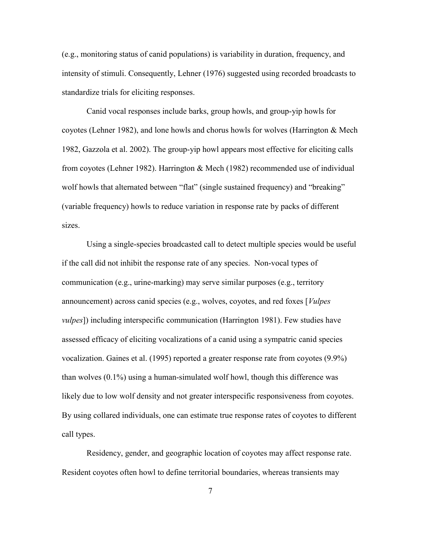(e.g., monitoring status of canid populations) is variability in duration, frequency, and intensity of stimuli. Consequently, Lehner (1976) suggested using recorded broadcasts to standardize trials for eliciting responses.

Canid vocal responses include barks, group howls, and group-yip howls for coyotes (Lehner 1982), and lone howls and chorus howls for wolves (Harrington & Mech 1982, Gazzola et al. 2002). The group-yip howl appears most effective for eliciting calls from coyotes (Lehner 1982). Harrington & Mech (1982) recommended use of individual wolf howls that alternated between "flat" (single sustained frequency) and "breaking" (variable frequency) howls to reduce variation in response rate by packs of different sizes.

 if the call did not inhibit the response rate of any species. Non-vocal types of Using a single-species broadcasted call to detect multiple species would be useful communication (e.g., urine-marking) may serve similar purposes (e.g., territory announcement) across canid species (e.g., wolves, coyotes, and red foxes [*Vulpes vulpes*]) including interspecific communication (Harrington 1981). Few studies have assessed efficacy of eliciting vocalizations of a canid using a sympatric canid species vocalization. Gaines et al. (1995) reported a greater response rate from coyotes (9.9%) than wolves (0.1%) using a human-simulated wolf howl, though this difference was likely due to low wolf density and not greater interspecific responsiveness from coyotes. By using collared individuals, one can estimate true response rates of coyotes to different call types.

Residency, gender, and geographic location of coyotes may affect response rate. Resident coyotes often howl to define territorial boundaries, whereas transients may

7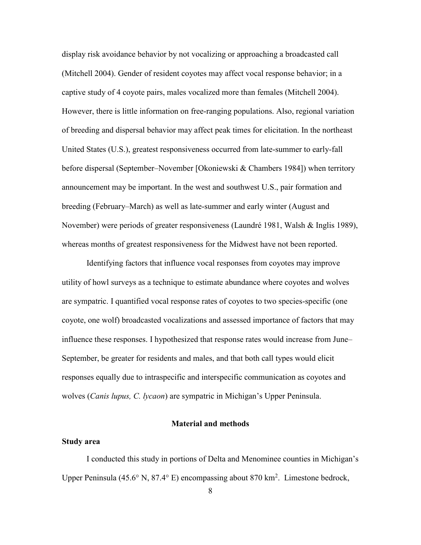display risk avoidance behavior by not vocalizing or approaching a broadcasted call (Mitchell 2004). Gender of resident coyotes may affect vocal response behavior; in a captive study of 4 coyote pairs, males vocalized more than females (Mitchell 2004). However, there is little information on free-ranging populations. Also, regional variation of breeding and dispersal behavior may affect peak times for elicitation. In the northeast United States (U.S.), greatest responsiveness occurred from late-summer to early-fall before dispersal (September–November [Okoniewski & Chambers 1984]) when territory announcement may be important. In the west and southwest U.S., pair formation and breeding (February–March) as well as late-summer and early winter (August and November) were periods of greater responsiveness (Laundré 1981, Walsh & Inglis 1989), whereas months of greatest responsiveness for the Midwest have not been reported.

Identifying factors that influence vocal responses from coyotes may improve utility of howl surveys as a technique to estimate abundance where coyotes and wolves are sympatric. I quantified vocal response rates of coyotes to two species-specific (one coyote, one wolf) broadcasted vocalizations and assessed importance of factors that may influence these responses. I hypothesized that response rates would increase from June– September, be greater for residents and males, and that both call types would elicit responses equally due to intraspecific and interspecific communication as coyotes and wolves (*Canis lupus, C. lycaon*) are sympatric in Michigan's Upper Peninsula.

### **Material and methods**

## <span id="page-19-1"></span><span id="page-19-0"></span>**Study area**

I conducted this study in portions of Delta and Menominee counties in Michigan's Upper Peninsula (45.6 $\degree$  N, 87.4 $\degree$  E) encompassing about 870 km<sup>2</sup>. Limestone bedrock,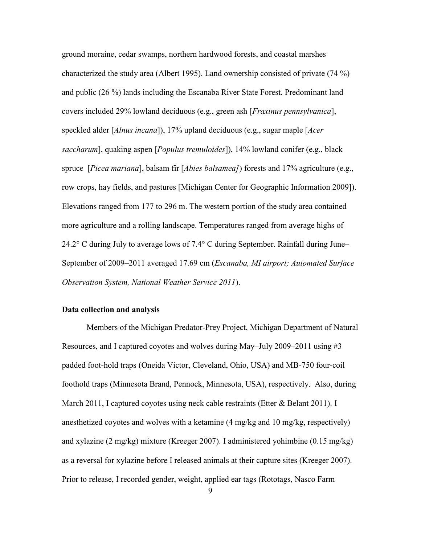ground moraine, cedar swamps, northern hardwood forests, and coastal marshes characterized the study area (Albert 1995). Land ownership consisted of private (74 %) and public (26 %) lands including the Escanaba River State Forest. Predominant land covers included 29% lowland deciduous (e.g., green ash [*Fraxinus pennsylvanica*], speckled alder [*Alnus incana*]), 17% upland deciduous (e.g., sugar maple [*Acer saccharum*], quaking aspen [*Populus tremuloides*]), 14% lowland conifer (e.g., black spruce [*Picea mariana*], balsam fir [*Abies balsamea]*) forests and 17% agriculture (e.g., row crops, hay fields, and pastures [Michigan Center for Geographic Information 2009]). Elevations ranged from 177 to 296 m. The western portion of the study area contained more agriculture and a rolling landscape. Temperatures ranged from average highs of 24.2° C during July to average lows of 7.4° C during September. Rainfall during June– September of 2009–2011 averaged 17.69 cm (*Escanaba, MI airport; Automated Surface Observation System, National Weather Service 2011*).

# <span id="page-20-0"></span>**Data collection and analysis**

Members of the Michigan Predator-Prey Project, Michigan Department of Natural Resources, and I captured coyotes and wolves during May–July 2009–2011 using #3 padded foot-hold traps (Oneida Victor, Cleveland, Ohio, USA) and MB-750 four-coil foothold traps (Minnesota Brand, Pennock, Minnesota, USA), respectively. Also, during March 2011, I captured coyotes using neck cable restraints (Etter & Belant 2011). I anesthetized coyotes and wolves with a ketamine (4 mg/kg and 10 mg/kg, respectively) and xylazine (2 mg/kg) mixture (Kreeger 2007). I administered yohimbine (0.15 mg/kg) as a reversal for xylazine before I released animals at their capture sites (Kreeger 2007). Prior to release, I recorded gender, weight, applied ear tags (Rototags, Nasco Farm

9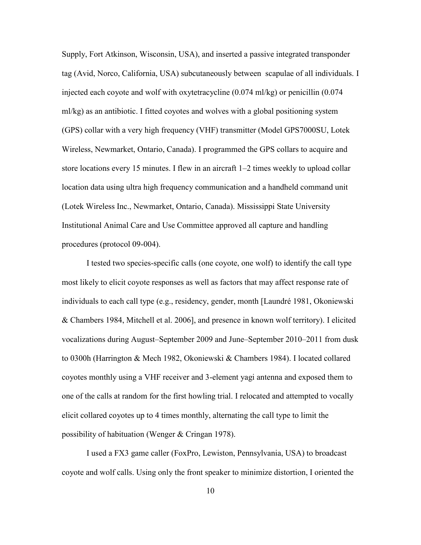Supply, Fort Atkinson, Wisconsin, USA), and inserted a passive integrated transponder tag (Avid, Norco, California, USA) subcutaneously between scapulae of all individuals. I injected each coyote and wolf with oxytetracycline  $(0.074 \text{ m} \cdot \text{/kg})$  or penicillin  $(0.074 \text{ m} \cdot \text{/kg})$ ml/kg) as an antibiotic. I fitted coyotes and wolves with a global positioning system (GPS) collar with a very high frequency (VHF) transmitter (Model GPS7000SU, Lotek Wireless, Newmarket, Ontario, Canada). I programmed the GPS collars to acquire and store locations every 15 minutes. I flew in an aircraft 1–2 times weekly to upload collar location data using ultra high frequency communication and a handheld command unit (Lotek Wireless Inc., Newmarket, Ontario, Canada). Mississippi State University Institutional Animal Care and Use Committee approved all capture and handling procedures (protocol 09-004).

 I tested two species-specific calls (one coyote, one wolf) to identify the call type most likely to elicit coyote responses as well as factors that may affect response rate of individuals to each call type (e.g., residency, gender, month [Laundré 1981, Okoniewski & Chambers 1984, Mitchell et al. 2006], and presence in known wolf territory). I elicited vocalizations during August–September 2009 and June–September 2010–2011 from dusk to 0300h (Harrington & Mech 1982, Okoniewski & Chambers 1984). I located collared coyotes monthly using a VHF receiver and 3-element yagi antenna and exposed them to one of the calls at random for the first howling trial. I relocated and attempted to vocally elicit collared coyotes up to 4 times monthly, alternating the call type to limit the possibility of habituation (Wenger & Cringan 1978).

 I used a FX3 game caller (FoxPro, Lewiston, Pennsylvania, USA) to broadcast coyote and wolf calls. Using only the front speaker to minimize distortion, I oriented the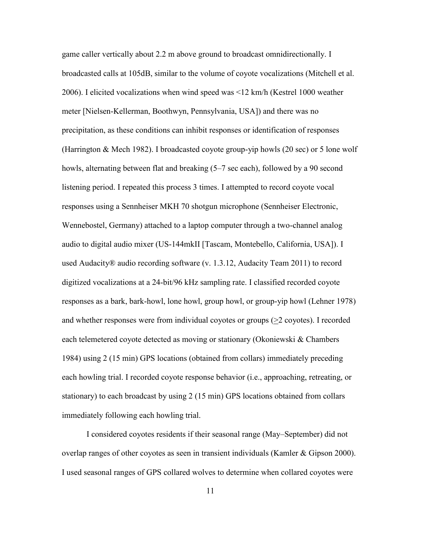1984) using 2 (15 min) GPS locations (obtained from collars) immediately preceding game caller vertically about 2.2 m above ground to broadcast omnidirectionally. I broadcasted calls at 105dB, similar to the volume of coyote vocalizations (Mitchell et al. 2006). I elicited vocalizations when wind speed was <12 km/h (Kestrel 1000 weather meter [Nielsen-Kellerman, Boothwyn, Pennsylvania, USA]) and there was no precipitation, as these conditions can inhibit responses or identification of responses (Harrington & Mech 1982). I broadcasted coyote group-yip howls (20 sec) or 5 lone wolf howls, alternating between flat and breaking (5–7 sec each), followed by a 90 second listening period. I repeated this process 3 times. I attempted to record coyote vocal responses using a Sennheiser MKH 70 shotgun microphone (Sennheiser Electronic, Wennebostel, Germany) attached to a laptop computer through a two-channel analog audio to digital audio mixer (US-144mkII [Tascam, Montebello, California, USA]). I used Audacity® audio recording software (v. 1.3.12, Audacity Team 2011) to record digitized vocalizations at a 24-bit/96 kHz sampling rate. I classified recorded coyote responses as a bark, bark-howl, lone howl, group howl, or group-yip howl (Lehner 1978) and whether responses were from individual coyotes or groups (>2 coyotes). I recorded each telemetered coyote detected as moving or stationary (Okoniewski & Chambers each howling trial. I recorded coyote response behavior (i.e., approaching, retreating, or stationary) to each broadcast by using 2 (15 min) GPS locations obtained from collars immediately following each howling trial.

I considered coyotes residents if their seasonal range (May–September) did not overlap ranges of other coyotes as seen in transient individuals (Kamler & Gipson 2000). I used seasonal ranges of GPS collared wolves to determine when collared coyotes were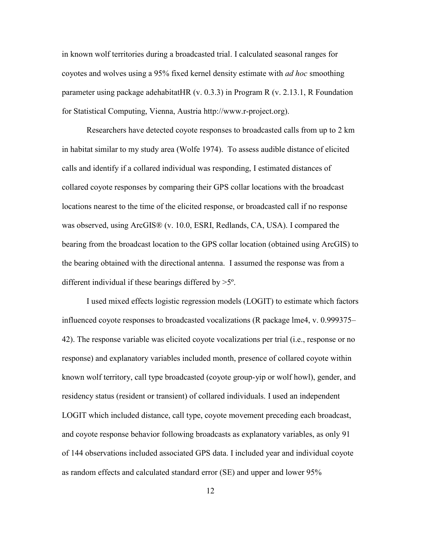in known wolf territories during a broadcasted trial. I calculated seasonal ranges for coyotes and wolves using a 95% fixed kernel density estimate with *ad hoc* smoothing parameter using package adehabitatHR (v. 0.3.3) in Program R (v. 2.13.1, R Foundation for Statistical Computing, Vienna, Austria <http://www.r-project.org>).

 in habitat similar to my study area (Wolfe 1974). To assess audible distance of elicited Researchers have detected coyote responses to broadcasted calls from up to 2 km calls and identify if a collared individual was responding, I estimated distances of collared coyote responses by comparing their GPS collar locations with the broadcast locations nearest to the time of the elicited response, or broadcasted call if no response was observed, using ArcGIS® (v. 10.0, ESRI, Redlands, CA, USA). I compared the bearing from the broadcast location to the GPS collar location (obtained using ArcGIS) to the bearing obtained with the directional antenna. I assumed the response was from a different individual if these bearings differed by >5º.

I used mixed effects logistic regression models (LOGIT) to estimate which factors influenced coyote responses to broadcasted vocalizations (R package lme4, v. 0.999375– 42). The response variable was elicited coyote vocalizations per trial (i.e., response or no response) and explanatory variables included month, presence of collared coyote within known wolf territory, call type broadcasted (coyote group-yip or wolf howl), gender, and residency status (resident or transient) of collared individuals. I used an independent LOGIT which included distance, call type, coyote movement preceding each broadcast, and coyote response behavior following broadcasts as explanatory variables, as only 91 of 144 observations included associated GPS data. I included year and individual coyote as random effects and calculated standard error (SE) and upper and lower 95%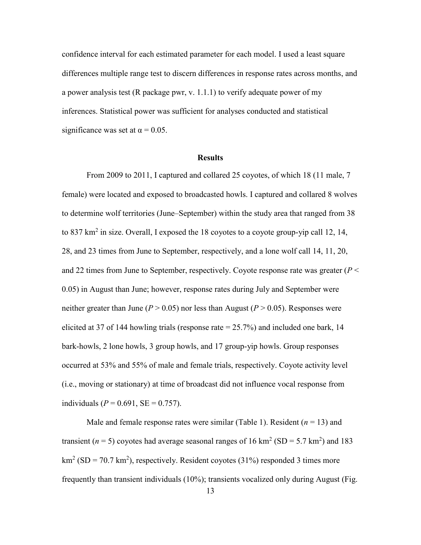confidence interval for each estimated parameter for each model. I used a least square differences multiple range test to discern differences in response rates across months, and a power analysis test (R package pwr, v. 1.1.1) to verify adequate power of my inferences. Statistical power was sufficient for analyses conducted and statistical significance was set at  $\alpha = 0.05$ .

#### **Results**

<span id="page-24-0"></span>From 2009 to 2011, I captured and collared 25 coyotes, of which 18 (11 male, 7 female) were located and exposed to broadcasted howls. I captured and collared 8 wolves to determine wolf territories (June–September) within the study area that ranged from 38 to 837 km<sup>2</sup> in size. Overall, I exposed the 18 coyotes to a coyote group-yip call 12, 14, 28, and 23 times from June to September, respectively, and a lone wolf call 14, 11, 20, and 22 times from June to September, respectively. Coyote response rate was greater (*P* < 0.05) in August than June; however, response rates during July and September were neither greater than June ( $P > 0.05$ ) nor less than August ( $P > 0.05$ ). Responses were elicited at 37 of 144 howling trials (response rate  $= 25.7\%$ ) and included one bark, 14 bark-howls, 2 lone howls, 3 group howls, and 17 group-yip howls. Group responses occurred at 53% and 55% of male and female trials, respectively. Coyote activity level (i.e., moving or stationary) at time of broadcast did not influence vocal response from individuals ( $P = 0.691$ ,  $SE = 0.757$ ).

Male and female response rates were similar (Table 1). Resident  $(n = 13)$  and transient ( $n = 5$ ) coyotes had average seasonal ranges of 16 km<sup>2</sup> (SD = 5.7 km<sup>2</sup>) and 183  $\text{km}^2$  (SD = 70.7 km<sup>2</sup>), respectively. Resident coyotes (31%) responded 3 times more frequently than transient individuals (10%); transients vocalized only during August (Fig.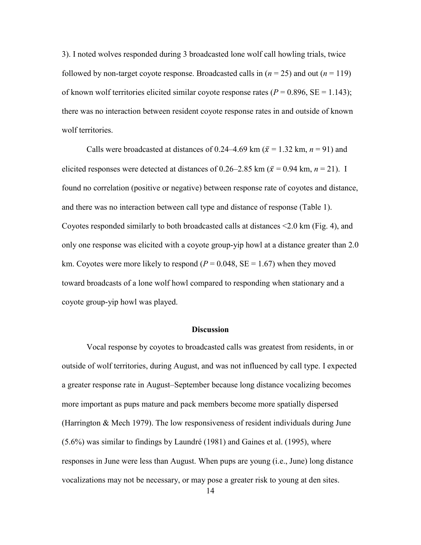3). I noted wolves responded during 3 broadcasted lone wolf call howling trials, twice followed by non-target coyote response. Broadcasted calls in  $(n = 25)$  and out  $(n = 119)$ of known wolf territories elicited similar coyote response rates  $(P = 0.896, SE = 1.143)$ ; there was no interaction between resident coyote response rates in and outside of known wolf territories.

 coyote group-yip howl was played. Calls were broadcasted at distances of [0.24–4.69](https://0.24�4.69) km ( $\bar{x}$  = 1.32 km, *n* = 91) and elicited responses were detected at distances of [0.26–2.85](https://0.26�2.85) km ( $\bar{x}$  = 0.94 km, *n* = 21). I found no correlation (positive or negative) between response rate of coyotes and distance, and there was no interaction between call type and distance of response (Table 1). Coyotes responded similarly to both broadcasted calls at distances <2.0 km (Fig. 4), and only one response was elicited with a coyote group-yip howl at a distance greater than 2.0 km. Coyotes were more likely to respond ( $P = 0.048$ ,  $SE = 1.67$ ) when they moved toward broadcasts of a lone wolf howl compared to responding when stationary and a

# **Discussion**

<span id="page-25-0"></span>Vocal response by coyotes to broadcasted calls was greatest from residents, in or outside of wolf territories, during August, and was not influenced by call type. I expected a greater response rate in August–September because long distance vocalizing becomes more important as pups mature and pack members become more spatially dispersed (Harrington & Mech 1979). The low responsiveness of resident individuals during June (5.6%) was similar to findings by Laundré (1981) and Gaines et al. (1995), where responses in June were less than August. When pups are young (i.e., June) long distance vocalizations may not be necessary, or may pose a greater risk to young at den sites.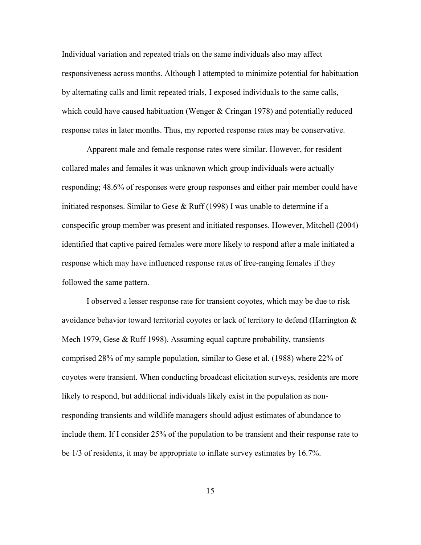Individual variation and repeated trials on the same individuals also may affect responsiveness across months. Although I attempted to minimize potential for habituation by alternating calls and limit repeated trials, I exposed individuals to the same calls, which could have caused habituation (Wenger & Cringan 1978) and potentially reduced response rates in later months. Thus, my reported response rates may be conservative.

 initiated responses. Similar to Gese & Ruff (1998) I was unable to determine if a Apparent male and female response rates were similar. However, for resident collared males and females it was unknown which group individuals were actually responding; 48.6% of responses were group responses and either pair member could have conspecific group member was present and initiated responses. However, Mitchell (2004) identified that captive paired females were more likely to respond after a male initiated a response which may have influenced response rates of free-ranging females if they followed the same pattern.

 be 1/3 of residents, it may be appropriate to inflate survey estimates by 16.7%. I observed a lesser response rate for transient coyotes, which may be due to risk avoidance behavior toward territorial coyotes or lack of territory to defend (Harrington & Mech 1979, Gese & Ruff 1998). Assuming equal capture probability, transients comprised 28% of my sample population, similar to Gese et al. (1988) where 22% of coyotes were transient. When conducting broadcast elicitation surveys, residents are more likely to respond, but additional individuals likely exist in the population as nonresponding transients and wildlife managers should adjust estimates of abundance to include them. If I consider 25% of the population to be transient and their response rate to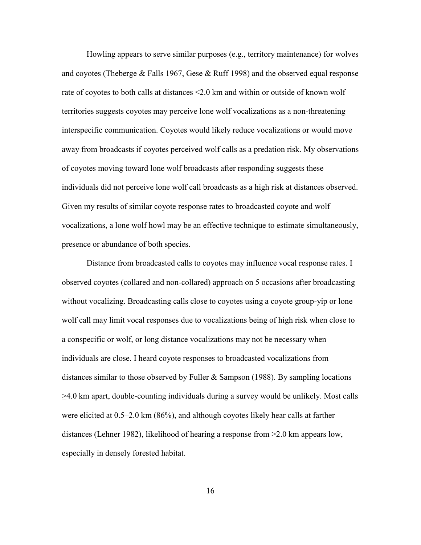Howling appears to serve similar purposes (e.g., territory maintenance) for wolves and coyotes (Theberge & Falls 1967, Gese & Ruff 1998) and the observed equal response rate of coyotes to both calls at distances <2.0 km and within or outside of known wolf territories suggests coyotes may perceive lone wolf vocalizations as a non-threatening interspecific communication. Coyotes would likely reduce vocalizations or would move away from broadcasts if coyotes perceived wolf calls as a predation risk. My observations of coyotes moving toward lone wolf broadcasts after responding suggests these individuals did not perceive lone wolf call broadcasts as a high risk at distances observed. Given my results of similar coyote response rates to broadcasted coyote and wolf vocalizations, a lone wolf howl may be an effective technique to estimate simultaneously, presence or abundance of both species.

Distance from broadcasted calls to coyotes may influence vocal response rates. I observed coyotes (collared and non-collared) approach on 5 occasions after broadcasting without vocalizing. Broadcasting calls close to coyotes using a coyote group-yip or lone wolf call may limit vocal responses due to vocalizations being of high risk when close to a conspecific or wolf, or long distance vocalizations may not be necessary when individuals are close. I heard coyote responses to broadcasted vocalizations from distances similar to those observed by Fuller & Sampson (1988). By sampling locations  $\geq$ 4.0 km apart, double-counting individuals during a survey would be unlikely. Most calls were elicited at 0.5–2.0 km (86%), and although coyotes likely hear calls at farther distances (Lehner 1982), likelihood of hearing a response from >2.0 km appears low, especially in densely forested habitat.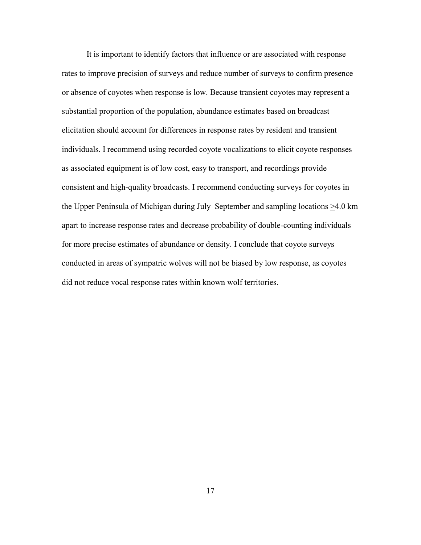It is important to identify factors that influence or are associated with response rates to improve precision of surveys and reduce number of surveys to confirm presence or absence of coyotes when response is low. Because transient coyotes may represent a substantial proportion of the population, abundance estimates based on broadcast elicitation should account for differences in response rates by resident and transient individuals. I recommend using recorded coyote vocalizations to elicit coyote responses as associated equipment is of low cost, easy to transport, and recordings provide consistent and high-quality broadcasts. I recommend conducting surveys for coyotes in the Upper Peninsula of Michigan during July–September and sampling locations >4.0 km apart to increase response rates and decrease probability of double-counting individuals for more precise estimates of abundance or density. I conclude that coyote surveys conducted in areas of sympatric wolves will not be biased by low response, as coyotes did not reduce vocal response rates within known wolf territories.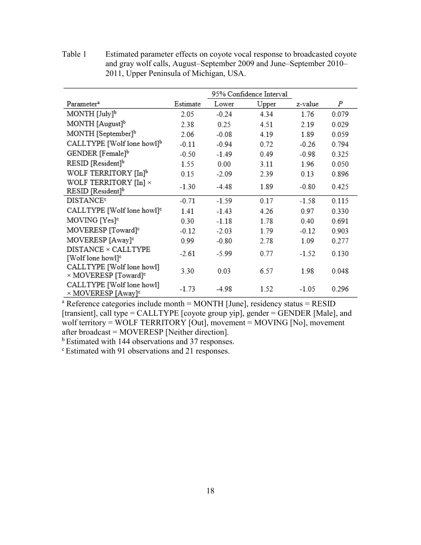|                                                               |          | 95% Confidence Interval |       |         |       |
|---------------------------------------------------------------|----------|-------------------------|-------|---------|-------|
| Parameter <sup>a</sup>                                        | Estimate | Lower                   | Upper | z-value | Ρ     |
| $MONTH$ [July] <sup>b</sup>                                   | 2.05     | $-0.24$                 | 4.34  | 1.76    | 0.079 |
| MONTH [August] <sup>b</sup>                                   | 2.38     | 0.25                    | 4.51  | 2.19    | 0.029 |
| MONTH [September] <sup>b</sup>                                | 2.06     | $-0.08$                 | 4.19  | 1.89    | 0.059 |
| CALLTYPE [Wolf lone howl] <sup>b</sup>                        | $-0.11$  | $-0.94$                 | 0.72  | $-0.26$ | 0.794 |
| GENDER [Female] <sup>b</sup>                                  | $-0.50$  | $-1.49$                 | 0.49  | $-0.98$ | 0.325 |
| RESID [Resident] <sup>b</sup>                                 | 1.55     | 0.00                    | 3.11  | 1.96    | 0.050 |
| WOLF TERRITORY [In] <sup>b</sup>                              | 0.15     | $-2.09$                 | 2.39  | 0.13    | 0.896 |
| WOLF TERRITORY $[In] \times$<br>RESID [Resident] <sup>b</sup> | $-1.30$  | $-4.48$                 | 1.89  | $-0.80$ | 0.425 |
| <b>DISTANCE<sup>c</sup></b>                                   | $-0.71$  | $-1.59$                 | 0.17  | $-1.58$ | 0.115 |
| CALLTYPE [Wolf lone howl] <sup>c</sup>                        | 1.41     | $-1.43$                 | 4.26  | 0.97    | 0.330 |
| MOVING [Yes] <sup>c</sup>                                     | 0.30     | $-1.18$                 | 1.78  | 0.40    | 0.691 |
| MOVERESP [Toward] <sup>e</sup>                                | $-0.12$  | $-2.03$                 | 1.79  | $-0.12$ | 0.903 |
| MOVERESP [Away] <sup>e</sup>                                  | 0.99     | $-0.80$                 | 2.78  | 1.09    | 0.277 |
| DISTANCE × CALLTYPE<br>[Wolf lone howl] <sup>e</sup>          | $-2.61$  | $-5.99$                 | 0.77  | $-1.52$ | 0.130 |
| CALLTYPE [Wolf lone howl]<br>× MOVERESP [Toward] <sup>e</sup> | 3.30     | 0.03                    | 6.57  | 1.98    | 0.048 |
| CALLTYPE [Wolf lone howl]<br>× MOVERESP [Away] <sup>c</sup>   | $-1.73$  | -4.98                   | 1.52  | $-1.05$ | 0.296 |

<span id="page-29-0"></span>Table 1 Estimated parameter effects on coyote vocal response to broadcasted coyote and gray wolf calls, August–September 2009 and June–September 2010– 2011, Upper Peninsula of Michigan, USA.

<sup>a</sup> Reference categories include month = MONTH [June], residency status = RESID [transient], call type = CALLTYPE [coyote group yip], gender = GENDER [Male], and wolf territory = WOLF TERRITORY [Out], movement = MOVING [No], movement after broadcast = MOVERESP [Neither direction].

<sup>b</sup> Estimated with 144 observations and 37 responses.

c Estimated with 91 observations and 21 responses.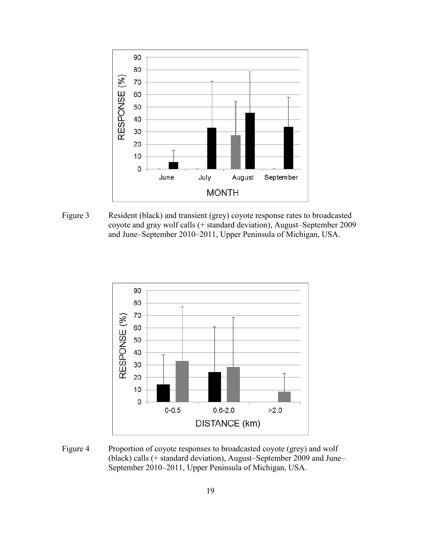

<span id="page-30-0"></span>Figure 3 Resident (black) and transient (grey) coyote response rates to broadcasted coyote and gray wolf calls (+ standard deviation), August–September 2009 and June–September 2010–2011, Upper Peninsula of Michigan, USA.



<span id="page-30-1"></span>Figure 4 Proportion of coyote responses to broadcasted coyote (grey) and wolf (black) calls (+ standard deviation), August–September 2009 and June– September 2010–2011, Upper Peninsula of Michigan, USA.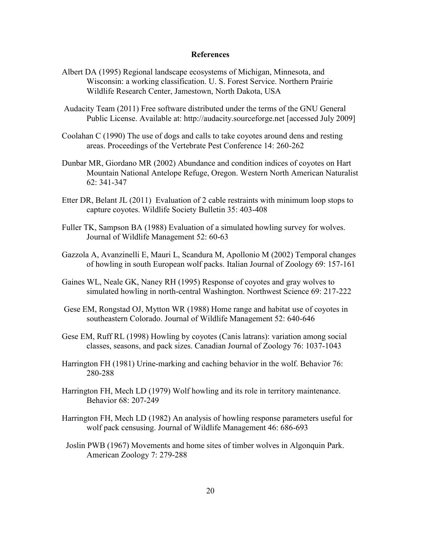# **References**

- <span id="page-31-0"></span>Albert DA (1995) Regional landscape ecosystems of Michigan, Minnesota, and Wisconsin: a working classification. U. S. Forest Service. Northern Prairie Wildlife Research Center, Jamestown, North Dakota, USA
- Audacity Team (2011) Free software distributed under the terms of the GNU General Public License. Available at: <http://audacity.sourceforge.net> [accessed July 2009]
- Coolahan C (1990) The use of dogs and calls to take coyotes around dens and resting areas. Proceedings of the Vertebrate Pest Conference 14: 260-262
- Dunbar MR, Giordano MR (2002) Abundance and condition indices of coyotes on Hart Mountain National Antelope Refuge, Oregon. Western North American Naturalist 62: 341-347
- Etter DR, Belant JL (2011) Evaluation of 2 cable restraints with minimum loop stops to capture coyotes. Wildlife Society Bulletin 35: 403-408
- Fuller TK, Sampson BA (1988) Evaluation of a simulated howling survey for wolves. Journal of Wildlife Management 52: 60-63
- Gazzola A, Avanzinelli E, Mauri L, Scandura M, Apollonio M (2002) Temporal changes of howling in south European wolf packs. Italian Journal of Zoology 69: 157-161
- Gaines WL, Neale GK, Naney RH (1995) Response of coyotes and gray wolves to simulated howling in north-central Washington. Northwest Science 69: 217-222
- Gese EM, Rongstad OJ, Mytton WR (1988) Home range and habitat use of coyotes in southeastern Colorado. Journal of Wildlife Management 52: 640-646
- Gese EM, Ruff RL (1998) Howling by coyotes (Canis latrans): variation among social classes, seasons, and pack sizes. Canadian Journal of Zoology 76: 1037-1043
- Harrington FH (1981) Urine-marking and caching behavior in the wolf. Behavior 76: 280-288
- Harrington FH, Mech LD (1979) Wolf howling and its role in territory maintenance. Behavior 68: 207-249
- Harrington FH, Mech LD (1982) An analysis of howling response parameters useful for wolf pack censusing. Journal of Wildlife Management 46: 686-693
- Joslin PWB (1967) Movements and home sites of timber wolves in Algonquin Park. American Zoology 7: 279-288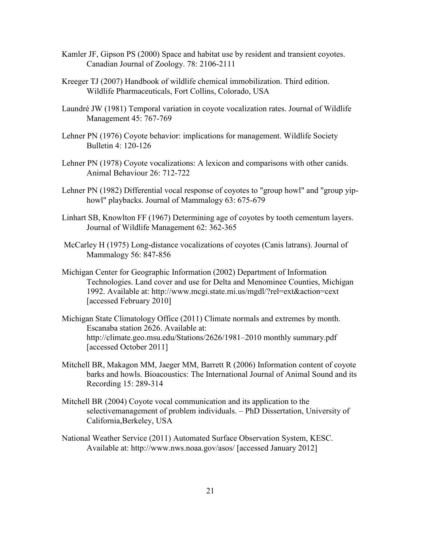- Kamler JF, Gipson PS (2000) Space and habitat use by resident and transient coyotes. Canadian Journal of Zoology. 78: 2106-2111
- Kreeger TJ (2007) Handbook of wildlife chemical immobilization. Third edition. Wildlife Pharmaceuticals, Fort Collins, Colorado, USA
- Laundré JW (1981) Temporal variation in coyote vocalization rates. Journal of Wildlife Management 45: 767-769
- Lehner PN (1976) Coyote behavior: implications for management. Wildlife Society Bulletin 4: 120-126
- Lehner PN (1978) Coyote vocalizations: A lexicon and comparisons with other canids. Animal Behaviour 26: 712-722
- Lehner PN (1982) Differential vocal response of coyotes to "group howl" and "group yiphowl" playbacks. Journal of Mammalogy 63: 675-679
- Linhart SB, Knowlton FF (1967) Determining age of coyotes by tooth cementum layers. Journal of Wildlife Management 62: 362-365
- McCarley H (1975) Long-distance vocalizations of coyotes (Canis latrans). Journal of Mammalogy 56: 847-856
- Michigan Center for Geographic Information (2002) Department of Information Technologies. Land cover and use for Delta and Menominee Counties, Michigan 1992. Available at: <http://www.mcgi.state.mi.us/mgdl/?rel=ext&action=cext> [accessed February 2010]
- Michigan State Climatology Office (2011) Climate normals and extremes by month. Escanaba station 2626. Available at: [http://climate.geo.msu.edu/Stations/2626/1981–2010](http://climate.geo.msu.edu/Stations/2626/1981�2010) monthly summary.pdf [accessed October 2011]
- Mitchell BR, Makagon MM, Jaeger MM, Barrett R (2006) Information content of coyote barks and howls. Bioacoustics: The International Journal of Animal Sound and its Recording 15: 289-314
- Mitchell BR (2004) Coyote vocal communication and its application to the selectivemanagement of problem individuals. – PhD Dissertation, University of California,Berkeley, USA
- National Weather Service (2011) Automated Surface Observation System, KESC. Available at: <http://www.nws.noaa.gov/asos>/ [accessed January 2012]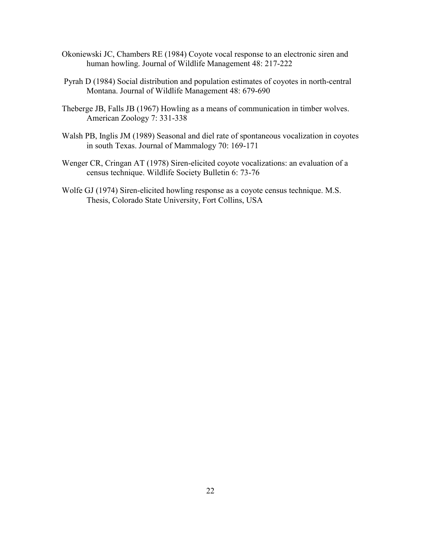- Okoniewski JC, Chambers RE (1984) Coyote vocal response to an electronic siren and human howling. Journal of Wildlife Management 48: 217-222
- Pyrah D (1984) Social distribution and population estimates of coyotes in north-central Montana. Journal of Wildlife Management 48: 679-690
- Theberge JB, Falls JB (1967) Howling as a means of communication in timber wolves. American Zoology 7: 331-338
- Walsh PB, Inglis JM (1989) Seasonal and diel rate of spontaneous vocalization in coyotes in south Texas. Journal of Mammalogy 70: 169-171
- Wenger CR, Cringan AT (1978) Siren-elicited coyote vocalizations: an evaluation of a census technique. Wildlife Society Bulletin 6: 73-76
- Wolfe GJ (1974) Siren-elicited howling response as a coyote census technique. M.S. Thesis, Colorado State University, Fort Collins, USA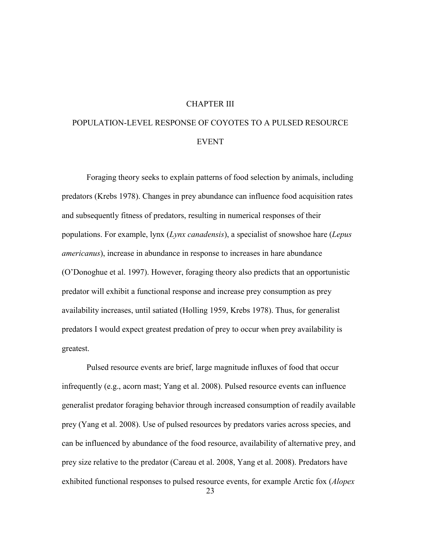# CHAPTER III

# <span id="page-34-0"></span>POPULATION-LEVEL RESPONSE OF COYOTES TO A PULSED RESOURCE EVENT

 *americanus*), increase in abundance in response to increases in hare abundance Foraging theory seeks to explain patterns of food selection by animals, including predators (Krebs 1978). Changes in prey abundance can influence food acquisition rates and subsequently fitness of predators, resulting in numerical responses of their populations. For example, lynx (*Lynx canadensis*), a specialist of snowshoe hare (*Lepus*  (O'Donoghue et al. 1997). However, foraging theory also predicts that an opportunistic predator will exhibit a functional response and increase prey consumption as prey availability increases, until satiated (Holling 1959, Krebs 1978). Thus, for generalist predators I would expect greatest predation of prey to occur when prey availability is greatest.

Pulsed resource events are brief, large magnitude influxes of food that occur infrequently (e.g., acorn mast; Yang et al. 2008). Pulsed resource events can influence generalist predator foraging behavior through increased consumption of readily available prey (Yang et al. 2008). Use of pulsed resources by predators varies across species, and can be influenced by abundance of the food resource, availability of alternative prey, and prey size relative to the predator (Careau et al. 2008, Yang et al. 2008). Predators have exhibited functional responses to pulsed resource events, for example Arctic fox (*Alopex*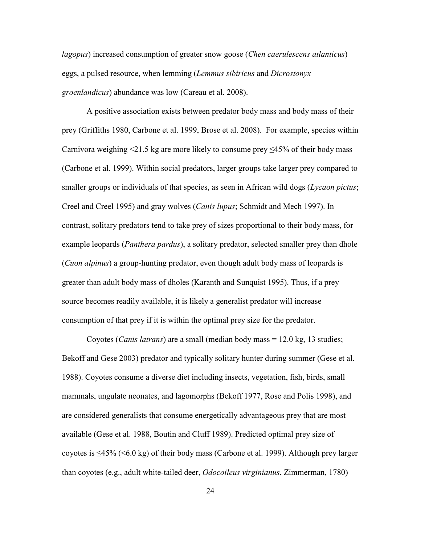*lagopus*) increased consumption of greater snow goose (*Chen caerulescens atlanticus*) eggs, a pulsed resource, when lemming (*Lemmus sibiricus* and *Dicrostonyx groenlandicus*) abundance was low (Careau et al. 2008).

A positive association exists between predator body mass and body mass of their prey (Griffiths 1980, Carbone et al. 1999, Brose et al. 2008). For example, species within Carnivora weighing <21.5 kg are more likely to consume prey  $\leq 45\%$  of their body mass (Carbone et al. 1999). Within social predators, larger groups take larger prey compared to smaller groups or individuals of that species, as seen in African wild dogs (*Lycaon pictus*; Creel and Creel 1995) and gray wolves (*Canis lupus*; Schmidt and Mech 1997). In contrast, solitary predators tend to take prey of sizes proportional to their body mass, for example leopards (*Panthera pardus*), a solitary predator, selected smaller prey than dhole (*Cuon alpinus*) a group-hunting predator, even though adult body mass of leopards is greater than adult body mass of dholes (Karanth and Sunquist 1995). Thus, if a prey source becomes readily available, it is likely a generalist predator will increase consumption of that prey if it is within the optimal prey size for the predator.

Coyotes (*Canis latrans*) are a small (median body mass = 12.0 kg, 13 studies; Bekoff and Gese 2003) predator and typically solitary hunter during summer (Gese et al. 1988). Coyotes consume a diverse diet including insects, vegetation, fish, birds, small mammals, ungulate neonates, and lagomorphs (Bekoff 1977, Rose and Polis 1998), and are considered generalists that consume energetically advantageous prey that are most available (Gese et al. 1988, Boutin and Cluff 1989). Predicted optimal prey size of coyotes is ≤45% (<6.0 kg) of their body mass (Carbone et al. 1999). Although prey larger than coyotes (e.g., adult white-tailed deer, *Odocoileus virginianus*, Zimmerman, 1780)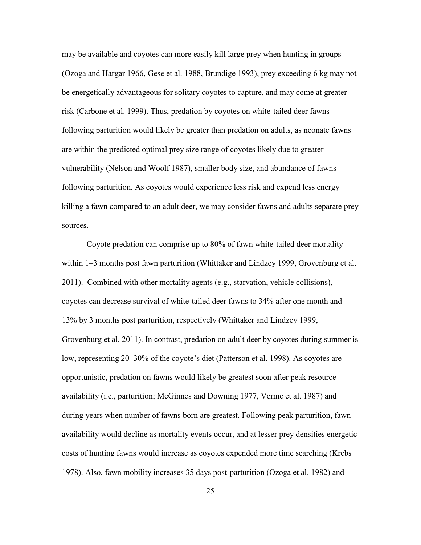may be available and coyotes can more easily kill large prey when hunting in groups (Ozoga and Hargar 1966, Gese et al. 1988, Brundige 1993), prey exceeding 6 kg may not be energetically advantageous for solitary coyotes to capture, and may come at greater risk (Carbone et al. 1999). Thus, predation by coyotes on white-tailed deer fawns following parturition would likely be greater than predation on adults, as neonate fawns are within the predicted optimal prey size range of coyotes likely due to greater vulnerability (Nelson and Woolf 1987), smaller body size, and abundance of fawns following parturition. As coyotes would experience less risk and expend less energy killing a fawn compared to an adult deer, we may consider fawns and adults separate prey sources.

Coyote predation can comprise up to 80% of fawn white-tailed deer mortality within 1–3 months post fawn parturition (Whittaker and Lindzey 1999, Grovenburg et al. 2011). Combined with other mortality agents (e.g., starvation, vehicle collisions), coyotes can decrease survival of white-tailed deer fawns to 34% after one month and 13% by 3 months post parturition, respectively (Whittaker and Lindzey 1999, Grovenburg et al. 2011). In contrast, predation on adult deer by coyotes during summer is low, representing 20–30% of the coyote's diet (Patterson et al. 1998). As coyotes are opportunistic, predation on fawns would likely be greatest soon after peak resource availability (i.e., parturition; McGinnes and Downing 1977, Verme et al. 1987) and during years when number of fawns born are greatest. Following peak parturition, fawn availability would decline as mortality events occur, and at lesser prey densities energetic costs of hunting fawns would increase as coyotes expended more time searching (Krebs 1978). Also, fawn mobility increases 35 days post-parturition (Ozoga et al. 1982) and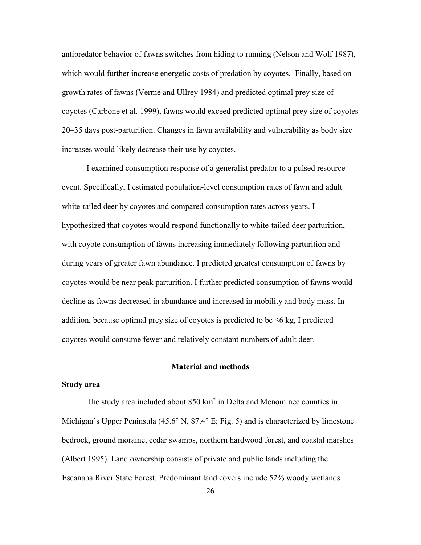20–35 days post-parturition. Changes in fawn availability and vulnerability as body size increases would likely decrease their use by coyotes. antipredator behavior of fawns switches from hiding to running (Nelson and Wolf 1987), which would further increase energetic costs of predation by coyotes. Finally, based on growth rates of fawns (Verme and Ullrey 1984) and predicted optimal prey size of coyotes (Carbone et al. 1999), fawns would exceed predicted optimal prey size of coyotes

 during years of greater fawn abundance. I predicted greatest consumption of fawns by I examined consumption response of a generalist predator to a pulsed resource event. Specifically, I estimated population-level consumption rates of fawn and adult white-tailed deer by coyotes and compared consumption rates across years. I hypothesized that coyotes would respond functionally to white-tailed deer parturition, with coyote consumption of fawns increasing immediately following parturition and coyotes would be near peak parturition. I further predicted consumption of fawns would decline as fawns decreased in abundance and increased in mobility and body mass. In addition, because optimal prey size of coyotes is predicted to be  $\leq 6$  kg, I predicted coyotes would consume fewer and relatively constant numbers of adult deer.

### **Material and methods**

# <span id="page-37-1"></span><span id="page-37-0"></span>**Study area**

The study area included about  $850 \text{ km}^2$  in Delta and Menominee counties in Escanaba River State Forest. Predominant land covers include 52% woody wetlands Michigan's Upper Peninsula (45.6° N, 87.4° E; Fig. 5) and is characterized by limestone bedrock, ground moraine, cedar swamps, northern hardwood forest, and coastal marshes (Albert 1995). Land ownership consists of private and public lands including the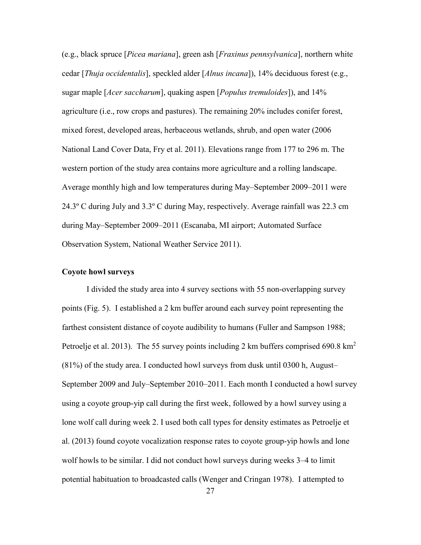Observation System, National Weather Service 2011). (e.g., black spruce [*Picea mariana*], green ash [*Fraxinus pennsylvanica*], northern white cedar [*Thuja occidentalis*], speckled alder [*Alnus incana*]), 14% deciduous forest (e.g., sugar maple [*Acer saccharum*], quaking aspen [*Populus tremuloides*]), and 14% agriculture (i.e., row crops and pastures). The remaining 20% includes conifer forest, mixed forest, developed areas, herbaceous wetlands, shrub, and open water (2006 National Land Cover Data, Fry et al. 2011). Elevations range from 177 to 296 m. The western portion of the study area contains more agriculture and a rolling landscape. Average monthly high and low temperatures during May–September 2009–2011 were 24.3º C during July and 3.3º C during May, respectively. Average rainfall was 22.3 cm during May–September 2009–2011 (Escanaba, MI airport; Automated Surface

# <span id="page-38-0"></span>**Coyote howl surveys**

 I divided the study area into 4 survey sections with 55 non-overlapping survey using a coyote group-yip call during the first week, followed by a howl survey using a potential habituation to broadcasted calls (Wenger and Cringan 1978). I attempted to points (Fig. 5). I established a 2 km buffer around each survey point representing the farthest consistent distance of coyote audibility to humans (Fuller and Sampson 1988; Petroelje et al. 2013). The 55 survey points including 2 km buffers comprised 690.8 km<sup>2</sup> (81%) of the study area. I conducted howl surveys from dusk until 0300 h, August– September 2009 and July–September 2010–2011. Each month I conducted a howl survey lone wolf call during week 2. I used both call types for density estimates as Petroelje et al. (2013) found coyote vocalization response rates to coyote group-yip howls and lone wolf howls to be similar. I did not conduct howl surveys during weeks 3–4 to limit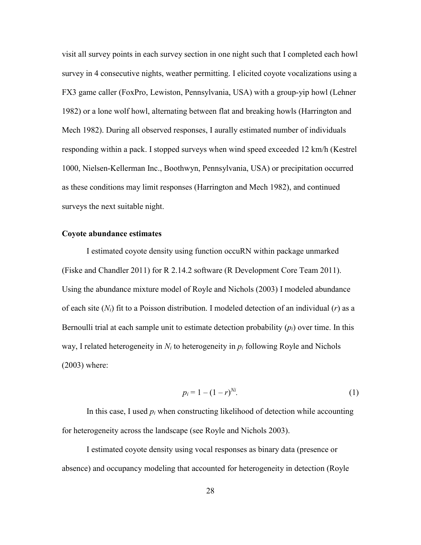visit all survey points in each survey section in one night such that I completed each howl survey in 4 consecutive nights, weather permitting. I elicited coyote vocalizations using a FX3 game caller (FoxPro, Lewiston, Pennsylvania, USA) with a group-yip howl (Lehner 1982) or a lone wolf howl, alternating between flat and breaking howls (Harrington and Mech 1982). During all observed responses, I aurally estimated number of individuals responding within a pack. I stopped surveys when wind speed exceeded 12 km/h (Kestrel 1000, Nielsen-Kellerman Inc., Boothwyn, Pennsylvania, USA) or precipitation occurred as these conditions may limit responses (Harrington and Mech 1982), and continued surveys the next suitable night.

#### <span id="page-39-0"></span>**Coyote abundance estimates**

I estimated coyote density using function occuRN within package unmarked (Fiske and Chandler 2011) for R 2.14.2 software (R Development Core Team 2011). Using the abundance mixture model of Royle and Nichols (2003) I modeled abundance of each site (*Ni*) fit to a Poisson distribution. I modeled detection of an individual (*r*) as a Bernoulli trial at each sample unit to estimate detection probability (*pi*) over time. In this way, I related heterogeneity in *Ni* to heterogeneity in *pi* following Royle and Nichols (2003) where:

$$
p_i = 1 - (1 - r)^{Ni}.\tag{1}
$$

 for heterogeneity across the landscape (see Royle and Nichols 2003). In this case, I used *pi* when constructing likelihood of detection while accounting

 I estimated coyote density using vocal responses as binary data (presence or absence) and occupancy modeling that accounted for heterogeneity in detection (Royle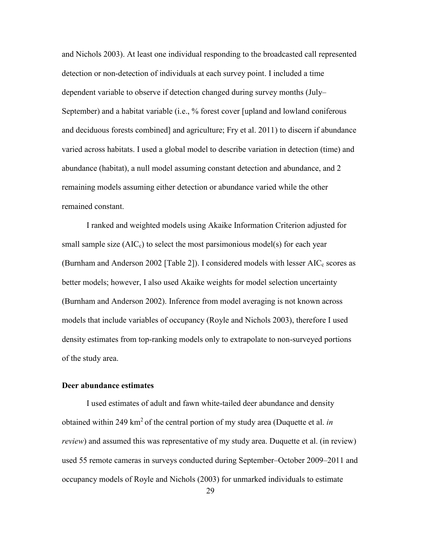remaining models assuming either detection or abundance varied while the other and Nichols 2003). At least one individual responding to the broadcasted call represented detection or non-detection of individuals at each survey point. I included a time dependent variable to observe if detection changed during survey months (July– September) and a habitat variable (i.e., % forest cover [upland and lowland coniferous and deciduous forests combined] and agriculture; Fry et al. 2011) to discern if abundance varied across habitats. I used a global model to describe variation in detection (time) and abundance (habitat), a null model assuming constant detection and abundance, and 2 remained constant.

 I ranked and weighted models using Akaike Information Criterion adjusted for models that include variables of occupancy (Royle and Nichols 2003), therefore I used of the study area. small sample size  $(AIC_c)$  to select the most parsimonious model(s) for each year (Burnham and Anderson 2002 [Table 2]). I considered models with lesser  $AIC_c$  scores as better models; however, I also used Akaike weights for model selection uncertainty (Burnham and Anderson 2002). Inference from model averaging is not known across density estimates from top-ranking models only to extrapolate to non-surveyed portions

# <span id="page-40-0"></span>**Deer abundance estimates**

 I used estimates of adult and fawn white-tailed deer abundance and density obtained within 249 km2 of the central portion of my study area (Duquette et al. *in review*) and assumed this was representative of my study area. Duquette et al. (in review) used 55 remote cameras in surveys conducted during September–October 2009–2011 and occupancy models of Royle and Nichols (2003) for unmarked individuals to estimate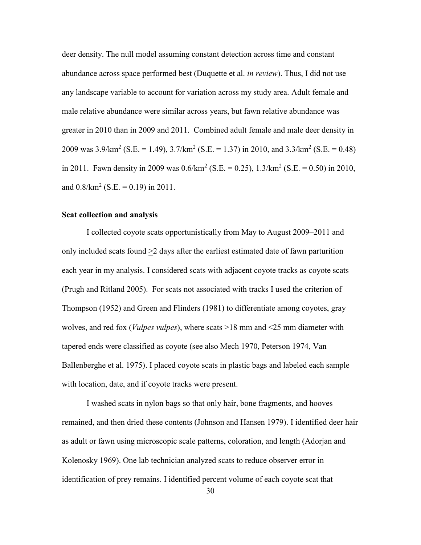and  $0.8/km^2$  (S.E. = 0.19) in 2011. deer density. The null model assuming constant detection across time and constant abundance across space performed best (Duquette et al. *in review*). Thus, I did not use any landscape variable to account for variation across my study area. Adult female and male relative abundance were similar across years, but fawn relative abundance was greater in 2010 than in 2009 and 2011. Combined adult female and male deer density in 2009 was  $3.9/\text{km}^2$  (S.E. = 1.49),  $3.7/\text{km}^2$  (S.E. = 1.37) in 2010, and  $3.3/\text{km}^2$  (S.E. = 0.48) in 2011. Fawn density in 2009 was  $0.6/km^2$  (S.E. = 0.25),  $1.3/km^2$  (S.E. = 0.50) in 2010,

## <span id="page-41-0"></span>**Scat collection and analysis**

 each year in my analysis. I considered scats with adjacent coyote tracks as coyote scats I collected coyote scats opportunistically from May to August 2009–2011 and only included scats found  $\geq$  days after the earliest estimated date of fawn parturition (Prugh and Ritland 2005). For scats not associated with tracks I used the criterion of Thompson (1952) and Green and Flinders (1981) to differentiate among coyotes, gray wolves, and red fox (*Vulpes vulpes*), where scats >18 mm and <25 mm diameter with tapered ends were classified as coyote (see also Mech 1970, Peterson 1974, Van Ballenberghe et al. 1975). I placed coyote scats in plastic bags and labeled each sample with location, date, and if coyote tracks were present.

I washed scats in nylon bags so that only hair, bone fragments, and hooves remained, and then dried these contents (Johnson and Hansen 1979). I identified deer hair as adult or fawn using microscopic scale patterns, coloration, and length (Adorjan and Kolenosky 1969). One lab technician analyzed scats to reduce observer error in identification of prey remains. I identified percent volume of each coyote scat that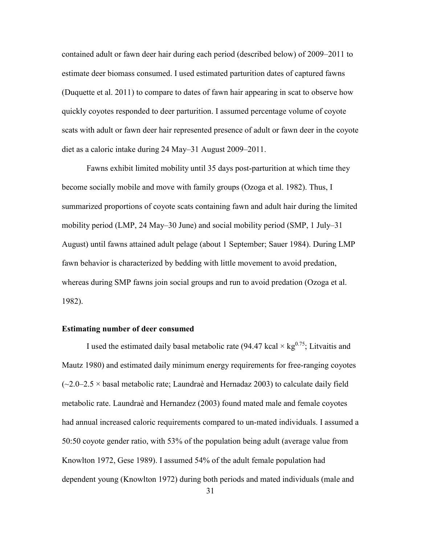contained adult or fawn deer hair during each period (described below) of 2009–2011 to estimate deer biomass consumed. I used estimated parturition dates of captured fawns (Duquette et al. 2011) to compare to dates of fawn hair appearing in scat to observe how quickly coyotes responded to deer parturition. I assumed percentage volume of coyote scats with adult or fawn deer hair represented presence of adult or fawn deer in the coyote diet as a caloric intake during 24 May–31 August 2009–2011.

 August) until fawns attained adult pelage (about 1 September; Sauer 1984). During LMP Fawns exhibit limited mobility until 35 days post-parturition at which time they become socially mobile and move with family groups (Ozoga et al. 1982). Thus, I summarized proportions of coyote scats containing fawn and adult hair during the limited mobility period (LMP, 24 May–30 June) and social mobility period (SMP, 1 July–31 fawn behavior is characterized by bedding with little movement to avoid predation, whereas during SMP fawns join social groups and run to avoid predation (Ozoga et al. 1982).

### <span id="page-42-0"></span> **Estimating number of deer consumed**

 had annual increased caloric requirements compared to un-mated individuals. I assumed a I used the estimated daily basal metabolic rate (94.47 kcal  $\times$  kg<sup>0.75</sup>; Litvaitis and Mautz 1980) and estimated daily minimum energy requirements for free-ranging coyotes  $(-2.0-2.5 \times$  basal metabolic rate; Laundraè and Hernadaz 2003) to calculate daily field metabolic rate. Laundraè and Hernandez (2003) found mated male and female coyotes 50:50 coyote gender ratio, with 53% of the population being adult (average value from Knowlton 1972, Gese 1989). I assumed 54% of the adult female population had dependent young (Knowlton 1972) during both periods and mated individuals (male and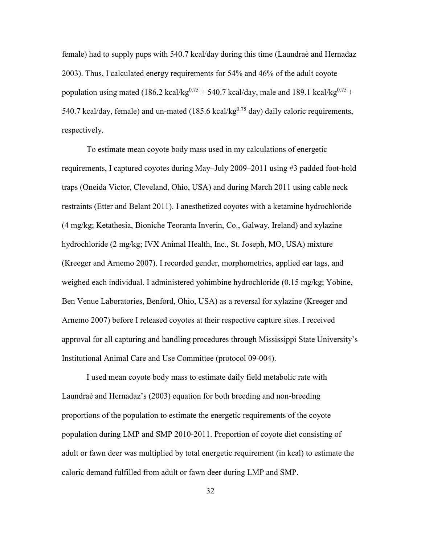540.7 kcal/day, female) and un-mated (185.6 kcal/kg $^{0.75}$  day) daily caloric requirements, female) had to supply pups with 540.7 kcal/day during this time (Laundraè and Hernadaz 2003). Thus, I calculated energy requirements for 54% and 46% of the adult coyote population using mated (186.2 kcal/kg<sup>0.75</sup> + 540.7 kcal/day, male and 189.1 kcal/kg<sup>0.75</sup> + respectively.

 weighed each individual. I administered yohimbine hydrochloride (0.15 mg/kg; Yobine, Institutional Animal Care and Use Committee (protocol 09-004). To estimate mean coyote body mass used in my calculations of energetic requirements, I captured coyotes during May–July 2009–2011 using #3 padded foot-hold traps (Oneida Victor, Cleveland, Ohio, USA) and during March 2011 using cable neck restraints (Etter and Belant 2011). I anesthetized coyotes with a ketamine hydrochloride (4 mg/kg; Ketathesia, Bioniche Teoranta Inverin, Co., Galway, Ireland) and xylazine hydrochloride (2 mg/kg; IVX Animal Health, Inc., St. Joseph, MO, USA) mixture (Kreeger and Arnemo 2007). I recorded gender, morphometrics, applied ear tags, and Ben Venue Laboratories, Benford, Ohio, USA) as a reversal for xylazine (Kreeger and Arnemo 2007) before I released coyotes at their respective capture sites. I received approval for all capturing and handling procedures through Mississippi State University's

I used mean coyote body mass to estimate daily field metabolic rate with Laundraè and Hernadaz's (2003) equation for both breeding and non-breeding proportions of the population to estimate the energetic requirements of the coyote population during LMP and SMP 2010-2011. Proportion of coyote diet consisting of adult or fawn deer was multiplied by total energetic requirement (in kcal) to estimate the caloric demand fulfilled from adult or fawn deer during LMP and SMP.

32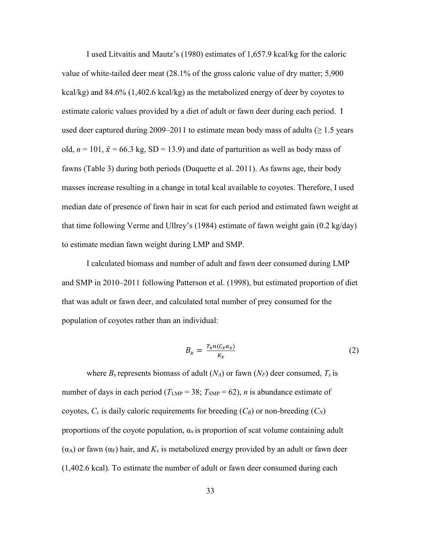estimate caloric values provided by a diet of adult or fawn deer during each period. I I used Litvaitis and Mautz's (1980) estimates of 1,657.9 kcal/kg for the caloric value of white-tailed deer meat (28.1% of the gross caloric value of dry matter; 5,900 kcal/kg) and  $84.6\%$  (1,402.6 kcal/kg) as the metabolized energy of deer by coyotes to used deer captured during 2009–2011 to estimate mean body mass of adults ( $\geq 1.5$  years old,  $n = 101$ ,  $\bar{x} = 66.3$  kg, SD = 13.9) and date of parturition as well as body mass of fawns (Table 3) during both periods (Duquette et al. 2011). As fawns age, their body masses increase resulting in a change in total kcal available to coyotes. Therefore, I used median date of presence of fawn hair in scat for each period and estimated fawn weight at that time following Verme and Ullrey's (1984) estimate of fawn weight gain (0.2 kg/day) to estimate median fawn weight during LMP and SMP.

 I calculated biomass and number of adult and fawn deer consumed during LMP and SMP in 2010–2011 following Patterson et al. (1998), but estimated proportion of diet that was adult or fawn deer, and calculated total number of prey consumed for the population of coyotes rather than an individual:

$$
B_x = \frac{T_x n (c_x \alpha_x)}{K_x} \tag{2}
$$

number of days in each period ( $T_{\text{LMP}} = 38$ ;  $T_{\text{SMP}} = 62$ ), *n* is abundance estimate of coyotes,  $C_x$  is daily caloric requirements for breeding  $(C_B)$  or non-breeding  $(C_N)$ where  $B_x$  represents biomass of adult  $(N_A)$  or fawn  $(N_F)$  deer consumed,  $T_x$  is proportions of the coyote population,  $\alpha_x$  is proportion of scat volume containing adult ( $\alpha$ A) or fawn ( $\alpha$ F) hair, and  $K_x$  is metabolized energy provided by an adult or fawn deer (1,402.6 kcal). To estimate the number of adult or fawn deer consumed during each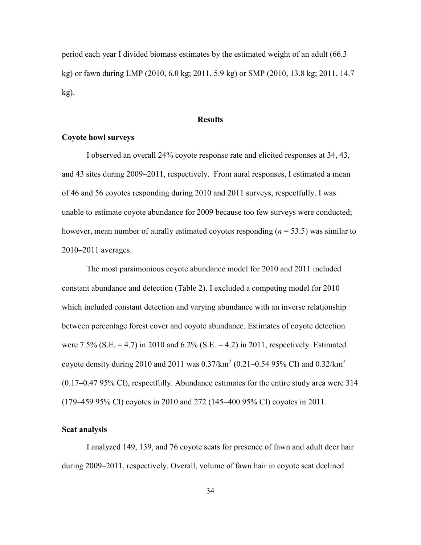period each year I divided biomass estimates by the estimated weight of an adult (66.3 kg) or fawn during LMP (2010, 6.0 kg; 2011, 5.9 kg) or SMP (2010, 13.8 kg; 2011, 14.7 kg).

# **Results**

# <span id="page-45-1"></span><span id="page-45-0"></span>**Coyote howl surveys**

I observed an overall 24% coyote response rate and elicited responses at 34, 43, and 43 sites during 2009–2011, respectively. From aural responses, I estimated a mean of 46 and 56 coyotes responding during 2010 and 2011 surveys, respectfully. I was unable to estimate coyote abundance for 2009 because too few surveys were conducted; however, mean number of aurally estimated coyotes responding (*n* = 53.5) was similar to 2010–2011 averages.

The most parsimonious coyote abundance model for 2010 and 2011 included constant abundance and detection (Table 2). I excluded a competing model for 2010 which included constant detection and varying abundance with an inverse relationship between percentage forest cover and coyote abundance. Estimates of coyote detection were 7.5% (S.E. = 4.7) in 2010 and 6.2% (S.E. = 4.2) in 2011, respectively. Estimated coyote density during 2010 and 2011 was  $0.37/\text{km}^2$  ([0.21–0.54](https://0.21�0.54) 95% CI) and 0.32/km<sup>2</sup> [\(0.17–0.47](https://0.17�0.47) 95% CI), respectfully. Abundance estimates for the entire study area were 314 (179–459 95% CI) coyotes in 2010 and 272 (145–400 95% CI) coyotes in 2011.

# <span id="page-45-2"></span>**Scat analysis**

I analyzed 149, 139, and 76 coyote scats for presence of fawn and adult deer hair during 2009–2011, respectively. Overall, volume of fawn hair in coyote scat declined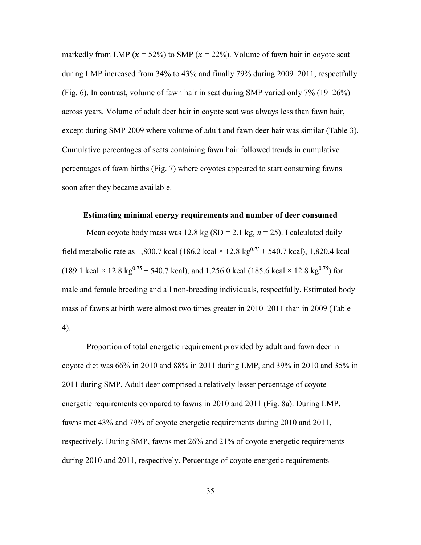during LMP increased from 34% to 43% and finally 79% during 2009–2011, respectfully markedly from LMP ( $\bar{x}$  = 52%) to SMP ( $\bar{x}$  = 22%). Volume of fawn hair in coyote scat (Fig. 6). In contrast, volume of fawn hair in scat during SMP varied only 7% (19–26%) across years. Volume of adult deer hair in coyote scat was always less than fawn hair, except during SMP 2009 where volume of adult and fawn deer hair was similar (Table 3). Cumulative percentages of scats containing fawn hair followed trends in cumulative percentages of fawn births (Fig. 7) where coyotes appeared to start consuming fawns soon after they became available.

### <span id="page-46-0"></span> **Estimating minimal energy requirements and number of deer consumed**

 4). Mean coyote body mass was 12.8 kg (SD = 2.1 kg, *n* = 25). I calculated daily field metabolic rate as 1,800.7 kcal (186.2 kcal  $\times$  12.8 kg<sup>0.75</sup> + 540.7 kcal), 1,820.4 kcal (189.1 kcal  $\times$  12.8 kg<sup>0.75</sup> + 540.7 kcal), and 1,256.0 kcal (185.6 kcal  $\times$  12.8 kg<sup>0.75</sup>) for male and female breeding and all non-breeding individuals, respectfully. Estimated body mass of fawns at birth were almost two times greater in 2010–2011 than in 2009 (Table

Proportion of total energetic requirement provided by adult and fawn deer in coyote diet was 66% in 2010 and 88% in 2011 during LMP, and 39% in 2010 and 35% in 2011 during SMP. Adult deer comprised a relatively lesser percentage of coyote energetic requirements compared to fawns in 2010 and 2011 (Fig. 8a). During LMP, fawns met 43% and 79% of coyote energetic requirements during 2010 and 2011, respectively. During SMP, fawns met 26% and 21% of coyote energetic requirements during 2010 and 2011, respectively. Percentage of coyote energetic requirements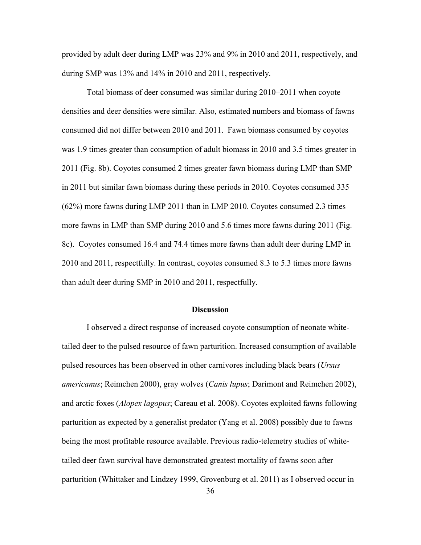provided by adult deer during LMP was 23% and 9% in 2010 and 2011, respectively, and during SMP was 13% and 14% in 2010 and 2011, respectively.

Total biomass of deer consumed was similar during 2010–2011 when coyote densities and deer densities were similar. Also, estimated numbers and biomass of fawns consumed did not differ between 2010 and 2011. Fawn biomass consumed by coyotes was 1.9 times greater than consumption of adult biomass in 2010 and 3.5 times greater in 2011 (Fig. 8b). Coyotes consumed 2 times greater fawn biomass during LMP than SMP in 2011 but similar fawn biomass during these periods in 2010. Coyotes consumed 335 (62%) more fawns during LMP 2011 than in LMP 2010. Coyotes consumed 2.3 times more fawns in LMP than SMP during 2010 and 5.6 times more fawns during 2011 (Fig. 8c). Coyotes consumed 16.4 and 74.4 times more fawns than adult deer during LMP in 2010 and 2011, respectfully. In contrast, coyotes consumed 8.3 to 5.3 times more fawns than adult deer during SMP in 2010 and 2011, respectfully.

#### **Discussion**

<span id="page-47-0"></span> parturition as expected by a generalist predator (Yang et al. 2008) possibly due to fawns I observed a direct response of increased coyote consumption of neonate whitetailed deer to the pulsed resource of fawn parturition. Increased consumption of available pulsed resources has been observed in other carnivores including black bears (*Ursus americanus*; Reimchen 2000), gray wolves (*Canis lupus*; Darimont and Reimchen 2002), and arctic foxes (*Alopex lagopus*; Careau et al. 2008). Coyotes exploited fawns following being the most profitable resource available. Previous radio-telemetry studies of whitetailed deer fawn survival have demonstrated greatest mortality of fawns soon after parturition (Whittaker and Lindzey 1999, Grovenburg et al. 2011) as I observed occur in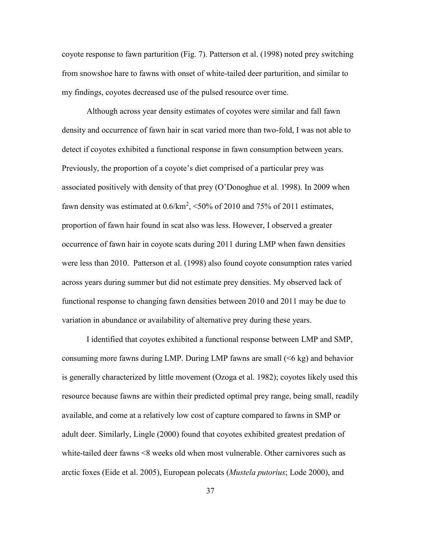coyote response to fawn parturition (Fig. 7). Patterson et al. (1998) noted prey switching from snowshoe hare to fawns with onset of white-tailed deer parturition, and similar to my findings, coyotes decreased use of the pulsed resource over time.

 Although across year density estimates of coyotes were similar and fall fawn variation in abundance or availability of alternative prey during these years. density and occurrence of fawn hair in scat varied more than two-fold, I was not able to detect if coyotes exhibited a functional response in fawn consumption between years. Previously, the proportion of a coyote's diet comprised of a particular prey was associated positively with density of that prey (O'Donoghue et al. 1998). In 2009 when fawn density was estimated at  $0.6/km^2$ , <50% of 2010 and 75% of 2011 estimates, proportion of fawn hair found in scat also was less. However, I observed a greater occurrence of fawn hair in coyote scats during 2011 during LMP when fawn densities were less than 2010. Patterson et al. (1998) also found coyote consumption rates varied across years during summer but did not estimate prey densities. My observed lack of functional response to changing fawn densities between 2010 and 2011 may be due to

I identified that coyotes exhibited a functional response between LMP and SMP, consuming more fawns during LMP. During LMP fawns are small (<6 kg) and behavior is generally characterized by little movement (Ozoga et al. 1982); coyotes likely used this resource because fawns are within their predicted optimal prey range, being small, readily available, and come at a relatively low cost of capture compared to fawns in SMP or adult deer. Similarly, Lingle (2000) found that coyotes exhibited greatest predation of white-tailed deer fawns <8 weeks old when most vulnerable. Other carnivores such as arctic foxes (Eide et al. 2005), European polecats (*Mustela putorius*; Lode 2000), and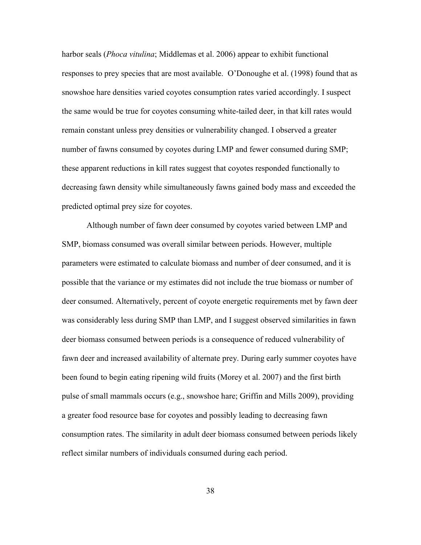harbor seals (*Phoca vitulina*; Middlemas et al. 2006) appear to exhibit functional responses to prey species that are most available. O'Donoughe et al. (1998) found that as snowshoe hare densities varied coyotes consumption rates varied accordingly. I suspect the same would be true for coyotes consuming white-tailed deer, in that kill rates would remain constant unless prey densities or vulnerability changed. I observed a greater number of fawns consumed by coyotes during LMP and fewer consumed during SMP; these apparent reductions in kill rates suggest that coyotes responded functionally to decreasing fawn density while simultaneously fawns gained body mass and exceeded the predicted optimal prey size for coyotes.

Although number of fawn deer consumed by coyotes varied between LMP and SMP, biomass consumed was overall similar between periods. However, multiple parameters were estimated to calculate biomass and number of deer consumed, and it is possible that the variance or my estimates did not include the true biomass or number of deer consumed. Alternatively, percent of coyote energetic requirements met by fawn deer was considerably less during SMP than LMP, and I suggest observed similarities in fawn deer biomass consumed between periods is a consequence of reduced vulnerability of fawn deer and increased availability of alternate prey. During early summer coyotes have been found to begin eating ripening wild fruits (Morey et al. 2007) and the first birth pulse of small mammals occurs (e.g., snowshoe hare; Griffin and Mills 2009), providing a greater food resource base for coyotes and possibly leading to decreasing fawn consumption rates. The similarity in adult deer biomass consumed between periods likely reflect similar numbers of individuals consumed during each period.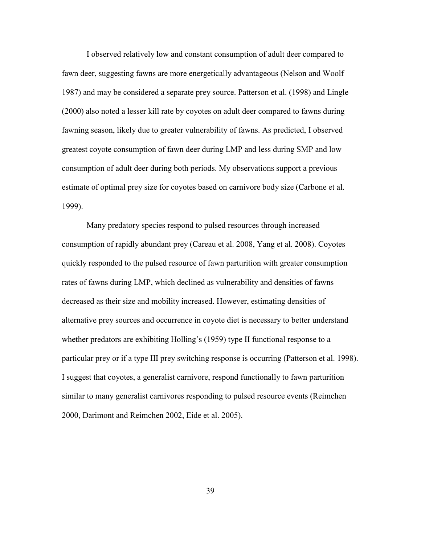consumption of adult deer during both periods. My observations support a previous I observed relatively low and constant consumption of adult deer compared to fawn deer, suggesting fawns are more energetically advantageous (Nelson and Woolf 1987) and may be considered a separate prey source. Patterson et al. (1998) and Lingle (2000) also noted a lesser kill rate by coyotes on adult deer compared to fawns during fawning season, likely due to greater vulnerability of fawns. As predicted, I observed greatest coyote consumption of fawn deer during LMP and less during SMP and low estimate of optimal prey size for coyotes based on carnivore body size (Carbone et al. 1999).

 Many predatory species respond to pulsed resources through increased whether predators are exhibiting Holling's (1959) type II functional response to a particular prey or if a type III prey switching response is occurring (Patterson et al. 1998). consumption of rapidly abundant prey (Careau et al. 2008, Yang et al. 2008). Coyotes quickly responded to the pulsed resource of fawn parturition with greater consumption rates of fawns during LMP, which declined as vulnerability and densities of fawns decreased as their size and mobility increased. However, estimating densities of alternative prey sources and occurrence in coyote diet is necessary to better understand I suggest that coyotes, a generalist carnivore, respond functionally to fawn parturition similar to many generalist carnivores responding to pulsed resource events (Reimchen 2000, Darimont and Reimchen 2002, Eide et al. 2005).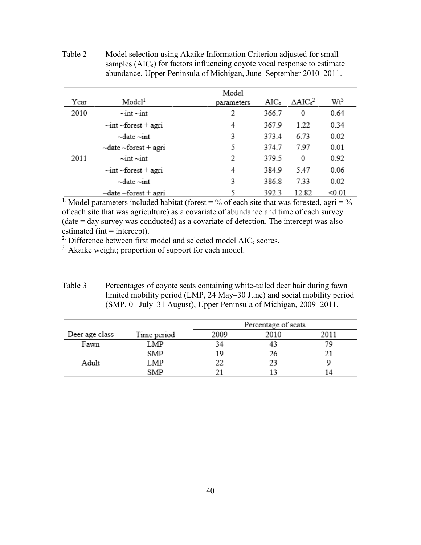<span id="page-51-0"></span>

| Table 2 | Model selection using Akaike Information Criterion adjusted for small      |
|---------|----------------------------------------------------------------------------|
|         | samples $(AICc)$ for factors influencing coyote vocal response to estimate |
|         | abundance, Upper Peninsula of Michigan, June–September 2010–2011.          |

|      |                                              | Model      |         |                     |                 |
|------|----------------------------------------------|------------|---------|---------------------|-----------------|
| Year | Model <sup>1</sup>                           | parameters | $AIC_c$ | $\triangle AIC_c^2$ | Wt <sup>3</sup> |
| 2010 | $\sim$ int $\sim$ int                        | 2          | 366.7   | 0                   | 0.64            |
|      | $\sim$ int $\sim$ forest + agri              | 4          | 367.9   | 1.22                | 0.34            |
|      | $\nightharpoonup$ date $\nightharpoonup$ int | 3          | 373.4   | 6.73                | 0.02            |
|      | $\sim$ date $\sim$ forest + agri             | 5          | 374.7   | 797                 | 0.01            |
| 2011 | $\sim$ int $\sim$ int                        | 2          | 379.5   | 0                   | 0.92            |
|      | $\sim$ int $\sim$ forest + agri              | 4          | 384.9   | 5.47                | 0.06            |
|      | $\nightharpoonup$ date $\nightharpoonup$ int | 3          | 386.8   | 7.33                | 0.02            |
|      | $\sim$ date $\sim$ forest + agri             | 5          | 392.3   | 12.82               | < 0.01          |
|      |                                              |            |         |                     |                 |

<sup>1.</sup> Model parameters included habitat (forest =  $\%$  of each site that was forested, agri =  $\%$ of each site that was agriculture) as a covariate of abundance and time of each survey  $(data = day$  survey was conducted) as a covariate of detection. The intercept was also estimated (int  $=$  intercept).

<sup>2</sup>. Difference between first model and selected model  $AIC_c$  scores.

<sup>3.</sup> Akaike weight; proportion of support for each model.

<span id="page-51-1"></span>Table 3 Percentages of coyote scats containing white-tailed deer hair during fawn limited mobility period (LMP, 24 May–30 June) and social mobility period (SMP, 01 July–31 August), Upper Peninsula of Michigan, 2009–2011.

|                |             | Percentage of scats |      |      |
|----------------|-------------|---------------------|------|------|
| Deer age class | Time period | 2009                | 2010 | 2011 |
| Fawn           | LMP         | 34                  |      |      |
|                | SMP         | 19                  | 26   |      |
| Adult          | LMP         |                     |      |      |
|                | SMP         |                     |      |      |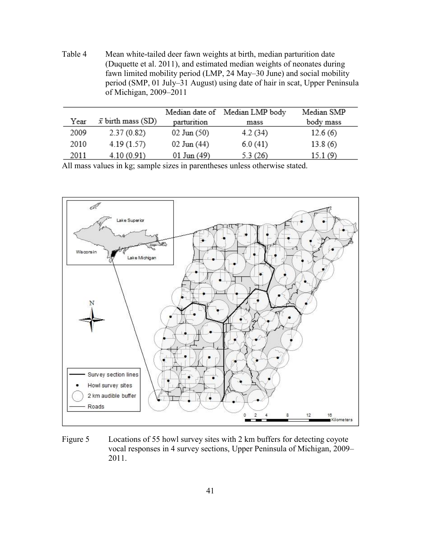<span id="page-52-0"></span>Table 4 Mean white-tailed deer fawn weights at birth, median parturition date (Duquette et al. 2011), and estimated median weights of neonates during fawn limited mobility period (LMP, 24 May–30 June) and social mobility period (SMP, 01 July–31 August) using date of hair in scat, Upper Peninsula of Michigan, 2009–2011

|      |                           | Median date of  | Median LMP body | Median SMP |
|------|---------------------------|-----------------|-----------------|------------|
| Year | $\bar{x}$ birth mass (SD) | parturition     | mass            | body mass  |
| 2009 | 2.37(0.82)                | $02$ Jun $(50)$ | 4.2(34)         | 12.6(6)    |
| 2010 | 4.19(1.57)                | $02$ Jun $(44)$ | 6.0(41)         | 13.8(6)    |
| 2011 | 4.10(0.91)                | $01$ Jun $(49)$ | 5.3(26)         | 15.1(9)    |

All mass values in kg; sample sizes in parentheses unless otherwise stated.



<span id="page-52-1"></span>Figure 5 Locations of 55 howl survey sites with 2 km buffers for detecting coyote vocal responses in 4 survey sections, Upper Peninsula of Michigan, 2009– 2011.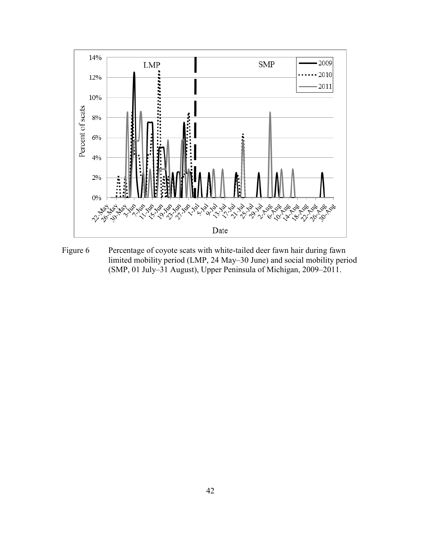

<span id="page-53-0"></span>Figure 6 Percentage of coyote scats with white-tailed deer fawn hair during fawn limited mobility period (LMP, 24 May–30 June) and social mobility period (SMP, 01 July–31 August), Upper Peninsula of Michigan, 2009–2011.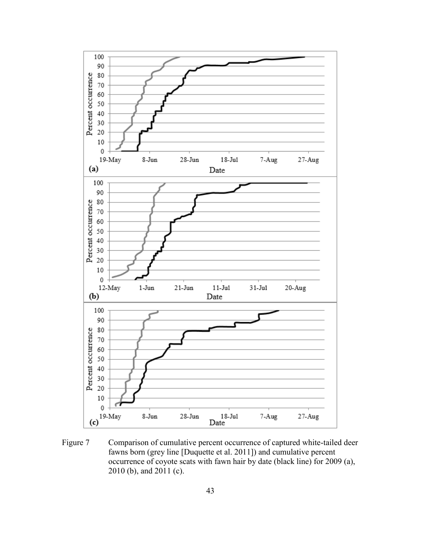

<span id="page-54-0"></span>Figure 7 Comparison of cumulative percent occurrence of captured white-tailed deer fawns born (grey line [Duquette et al. 2011]) and cumulative percent occurrence of coyote scats with fawn hair by date (black line) for 2009 (a), 2010 (b), and 2011 (c).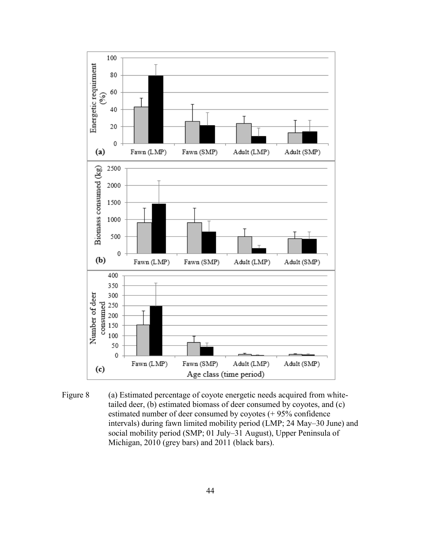

<span id="page-55-0"></span>Figure 8 (a) Estimated percentage of coyote energetic needs acquired from whitetailed deer, (b) estimated biomass of deer consumed by coyotes, and (c) estimated number of deer consumed by coyotes (+ 95% confidence intervals) during fawn limited mobility period (LMP; 24 May–30 June) and social mobility period (SMP; 01 July–31 August), Upper Peninsula of Michigan, 2010 (grey bars) and 2011 (black bars).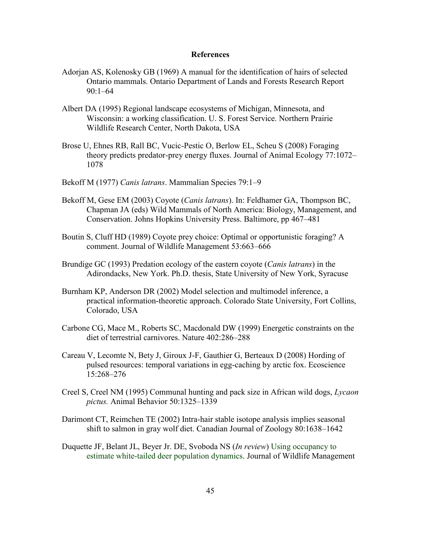# **References**

- <span id="page-56-0"></span>Adorjan AS, Kolenosky GB (1969) A manual for the identification of hairs of selected Ontario mammals. Ontario Department of Lands and Forests Research Report 90:1–64
- Albert DA (1995) Regional landscape ecosystems of Michigan, Minnesota, and Wisconsin: a working classification. U. S. Forest Service. Northern Prairie Wildlife Research Center, North Dakota, USA
- Brose U, Ehnes RB, Rall BC, Vucic-Pestic O, Berlow EL, Scheu S (2008) Foraging theory predicts predator-prey energy fluxes. Journal of Animal Ecology 77:1072– 1078
- Bekoff M (1977) *Canis latrans*. Mammalian Species 79:1–9
- Bekoff M, Gese EM (2003) Coyote (*Canis latrans*). In: Feldhamer GA, Thompson BC, Chapman JA (eds) Wild Mammals of North America: Biology, Management, and Conservation. Johns Hopkins University Press. Baltimore, pp 467–481
- Boutin S, Cluff HD (1989) Coyote prey choice: Optimal or opportunistic foraging? A comment. Journal of Wildlife Management 53:663–666
- Brundige GC (1993) Predation ecology of the eastern coyote (*Canis latrans*) in the Adirondacks, New York. Ph.D. thesis, State University of New York, Syracuse
- Burnham KP, Anderson DR (2002) Model selection and multimodel inference, a practical information-theoretic approach. Colorado State University, Fort Collins, Colorado, USA
- Carbone CG, Mace M., Roberts SC, Macdonald DW (1999) Energetic constraints on the diet of terrestrial carnivores. Nature 402:286–288
- Careau V, Lecomte N, Bety J, Giroux J-F, Gauthier G, Berteaux D (2008) Hording of pulsed resources: temporal variations in egg-caching by arctic fox. Ecoscience 15:268–276
- Creel S, Creel NM (1995) Communal hunting and pack size in African wild dogs, *Lycaon pictus.* Animal Behavior 50:1325–1339
- Darimont CT, Reimchen TE (2002) Intra-hair stable isotope analysis implies seasonal shift to salmon in gray wolf diet. Canadian Journal of Zoology 80:1638–1642
- Duquette JF, Belant JL, Beyer Jr. DE, Svoboda NS (*In review*) Using occupancy to estimate white-tailed deer population dynamics. Journal of Wildlife Management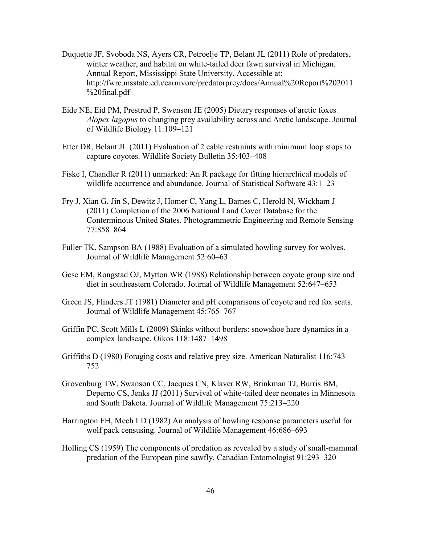- Duquette JF, Svoboda NS, Ayers CR, Petroelje TP, Belant JL (2011) Role of predators, winter weather, and habitat on white-tailed deer fawn survival in Michigan. Annual Report, Mississippi State University. Accessible at: [http://fwrc.msstate.edu/carnivore/predatorprey/docs/Annual%20Report%202011\\_](http://fwrc.msstate.edu/carnivore/predatorprey/docs/Annual%20Report%202011) %20final.pdf
- Eide NE, Eid PM, Prestrud P, Swenson JE (2005) Dietary responses of arctic foxes *Alopex lagopus* to changing prey availability across and Arctic landscape. Journal of Wildlife Biology 11:109–121
- Etter DR, Belant JL (2011) Evaluation of 2 cable restraints with minimum loop stops to capture coyotes. Wildlife Society Bulletin 35:403–408
- Fiske I, Chandler R (2011) unmarked: An R package for fitting hierarchical models of wildlife occurrence and abundance. Journal of Statistical Software 43:1–23
- Fry J, Xian G, Jin S, Dewitz J, Homer C, Yang L, Barnes C, Herold N, Wickham J (2011) Completion of the 2006 National Land Cover Database for the Conterminous United States. Photogrammetric Engineering and Remote Sensing 77:858–864
- Fuller TK, Sampson BA (1988) Evaluation of a simulated howling survey for wolves. Journal of Wildlife Management 52:60–63
- Gese EM, Rongstad OJ, Mytton WR (1988) Relationship between coyote group size and diet in southeastern Colorado. Journal of Wildlife Management 52:647–653
- Green JS, Flinders JT (1981) Diameter and pH comparisons of coyote and red fox scats. Journal of Wildlife Management 45:765–767
- Griffin PC, Scott Mills L (2009) Skinks without borders: snowshoe hare dynamics in a complex landscape. Oikos 118:1487–1498
- Griffiths D (1980) Foraging costs and relative prey size. American Naturalist 116:743– 752
- Grovenburg TW, Swanson CC, Jacques CN, Klaver RW, Brinkman TJ, Burris BM, Deperno CS, Jenks JJ (2011) Survival of white-tailed deer neonates in Minnesota and South Dakota. Journal of Wildlife Management 75:213–220
- Harrington FH, Mech LD (1982) An analysis of howling response parameters useful for wolf pack censusing. Journal of Wildlife Management 46:686–693
- Holling CS (1959) The components of predation as revealed by a study of small-mammal predation of the European pine sawfly. Canadian Entomologist 91:293–320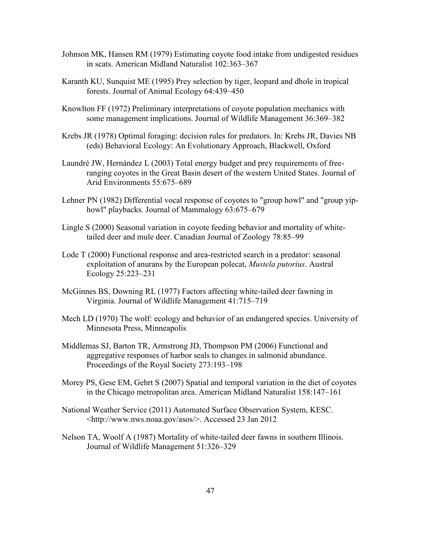- Johnson MK, Hansen RM (1979) Estimating coyote food intake from undigested residues in scats. American Midland Naturalist 102:363–367
- Karanth KU, Sunquist ME (1995) Prey selection by tiger, leopard and dhole in tropical forests. Journal of Animal Ecology 64:439–450
- Knowlton FF (1972) Preliminary interpretations of coyote population mechanics with some management implications. Journal of Wildlife Management 36:369–382
- Krebs JR (1978) Optimal foraging: decision rules for predators. In: Krebs JR, Davies NB (eds) Behavioral Ecology: An Evolutionary Approach, Blackwell, Oxford
- Laundré JW, Hernández L (2003) Total energy budget and prey requirements of freeranging coyotes in the Great Basin desert of the western United States. Journal of Arid Environments 55:675–689
- Lehner PN (1982) Differential vocal response of coyotes to "group howl" and "group yiphowl" playbacks. Journal of Mammalogy 63:675–679
- Lingle S (2000) Seasonal variation in coyote feeding behavior and mortality of whitetailed deer and mule deer. Canadian Journal of Zoology 78:85–99
- Lode T (2000) Functional response and area-restricted search in a predator: seasonal exploitation of anurans by the European polecat, *Mustela putorius*. Austral Ecology 25:223–231
- McGinnes BS, Downing RL (1977) Factors affecting white-tailed deer fawning in Virginia. Journal of Wildlife Management 41:715–719
- Mech LD (1970) The wolf: ecology and behavior of an endangered species. University of Minnesota Press, Minneapolis
- Middlemas SJ, Barton TR, Armstrong JD, Thompson PM (2006) Functional and aggregative responses of harbor seals to changes in salmonid abundance. Proceedings of the Royal Society 273:193–198
- Morey PS, Gese EM, Gehrt S (2007) Spatial and temporal variation in the diet of coyotes in the Chicago metropolitan area. American Midland Naturalist 158:147–161
- National Weather Service (2011) Automated Surface Observation System, KESC. <<http://www.nws.noaa.gov/asos>/>. Accessed 23 Jan 2012
- Nelson TA, Woolf A (1987) Mortality of white-tailed deer fawns in southern Illinois. Journal of Wildlife Management 51:326–329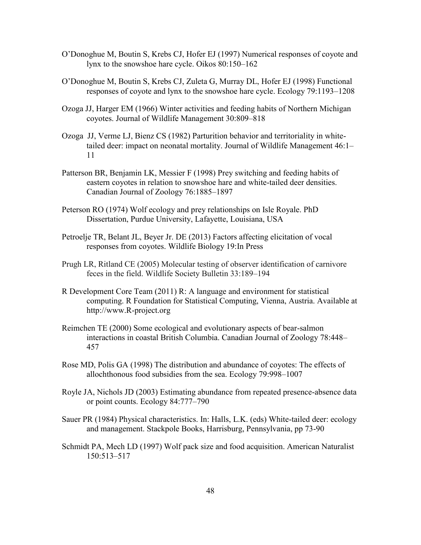- O'Donoghue M, Boutin S, Krebs CJ, Hofer EJ (1997) Numerical responses of coyote and lynx to the snowshoe hare cycle. Oikos 80:150–162
- O'Donoghue M, Boutin S, Krebs CJ, Zuleta G, Murray DL, Hofer EJ (1998) Functional responses of coyote and lynx to the snowshoe hare cycle. Ecology 79:1193–1208
- Ozoga JJ, Harger EM (1966) Winter activities and feeding habits of Northern Michigan coyotes. Journal of Wildlife Management 30:809–818
- Ozoga JJ, Verme LJ, Bienz CS (1982) Parturition behavior and territoriality in whitetailed deer: impact on neonatal mortality. Journal of Wildlife Management 46:1– 11
- Patterson BR, Benjamin LK, Messier F (1998) Prey switching and feeding habits of eastern coyotes in relation to snowshoe hare and white-tailed deer densities. Canadian Journal of Zoology 76:1885–1897
- Peterson RO (1974) Wolf ecology and prey relationships on Isle Royale. PhD Dissertation, Purdue University, Lafayette, Louisiana, USA
- Petroelje TR, Belant JL, Beyer Jr. DE (2013) Factors affecting elicitation of vocal responses from coyotes. Wildlife Biology 19:In Press
- Prugh LR, Ritland CE (2005) Molecular testing of observer identification of carnivore feces in the field. Wildlife Society Bulletin 33:189–194
- R Development Core Team (2011) R: A language and environment for statistical computing. R Foundation for Statistical Computing, Vienna, Austria. Available at <http://www.R-project.org>
- Reimchen TE (2000) Some ecological and evolutionary aspects of bear-salmon interactions in coastal British Columbia. Canadian Journal of Zoology 78:448– 457
- Rose MD, Polis GA (1998) The distribution and abundance of coyotes: The effects of allochthonous food subsidies from the sea. Ecology 79:998–1007
- Royle JA, Nichols JD (2003) Estimating abundance from repeated presence-absence data or point counts. Ecology 84:777–790
- Sauer PR (1984) Physical characteristics. In: Halls, L.K. (eds) White-tailed deer: ecology and management. Stackpole Books, Harrisburg, Pennsylvania, pp 73-90
- Schmidt PA, Mech LD (1997) Wolf pack size and food acquisition. American Naturalist 150:513–517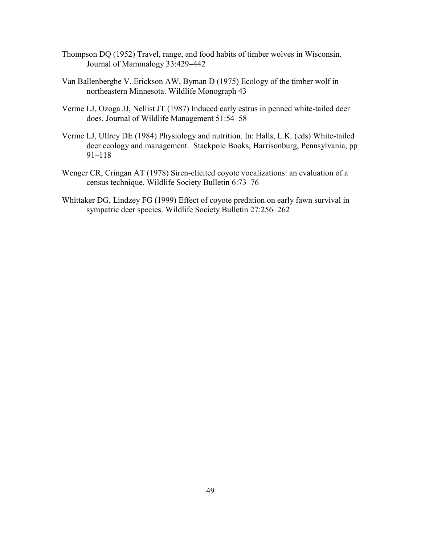- Thompson DQ (1952) Travel, range, and food habits of timber wolves in Wisconsin. Journal of Mammalogy 33:429–442
- Van Ballenberghe V, Erickson AW, Byman D (1975) Ecology of the timber wolf in northeastern Minnesota. Wildlife Monograph 43
- Verme LJ, Ozoga JJ, Nellist JT (1987) Induced early estrus in penned white-tailed deer does. Journal of Wildlife Management 51:54–58
- Verme LJ, Ullrey DE (1984) Physiology and nutrition. In: Halls, L.K. (eds) White-tailed deer ecology and management. Stackpole Books, Harrisonburg, Pennsylvania, pp 91–118
- Wenger CR, Cringan AT (1978) Siren-elicited coyote vocalizations: an evaluation of a census technique. Wildlife Society Bulletin 6:73–76
- Whittaker DG, Lindzey FG (1999) Effect of coyote predation on early fawn survival in sympatric deer species. Wildlife Society Bulletin 27:256–262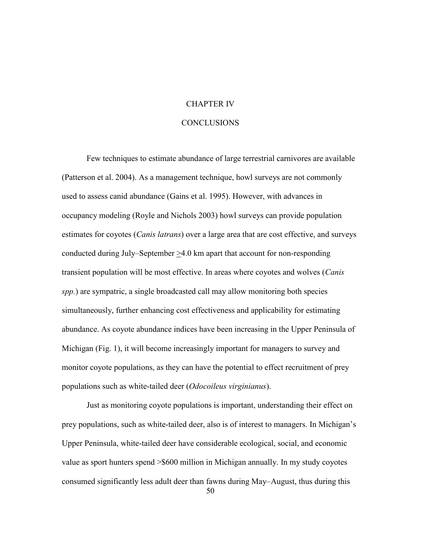# CHAPTER IV

# CONCLUSIONS

<span id="page-61-0"></span> occupancy modeling (Royle and Nichols 2003) howl surveys can provide population Few techniques to estimate abundance of large terrestrial carnivores are available (Patterson et al. 2004). As a management technique, howl surveys are not commonly used to assess canid abundance (Gains et al. 1995). However, with advances in estimates for coyotes (*Canis latrans*) over a large area that are cost effective, and surveys conducted during July–September  $\geq 4.0$  km apart that account for non-responding transient population will be most effective. In areas where coyotes and wolves (*Canis spp.*) are sympatric, a single broadcasted call may allow monitoring both species simultaneously, further enhancing cost effectiveness and applicability for estimating abundance. As coyote abundance indices have been increasing in the Upper Peninsula of Michigan (Fig. 1), it will become increasingly important for managers to survey and monitor coyote populations, as they can have the potential to effect recruitment of prey populations such as white-tailed deer (*Odocoileus virginianus*).

Just as monitoring coyote populations is important, understanding their effect on prey populations, such as white-tailed deer, also is of interest to managers. In Michigan's Upper Peninsula, white-tailed deer have considerable ecological, social, and economic value as sport hunters spend >\$600 million in Michigan annually. In my study coyotes consumed significantly less adult deer than fawns during May–August, thus during this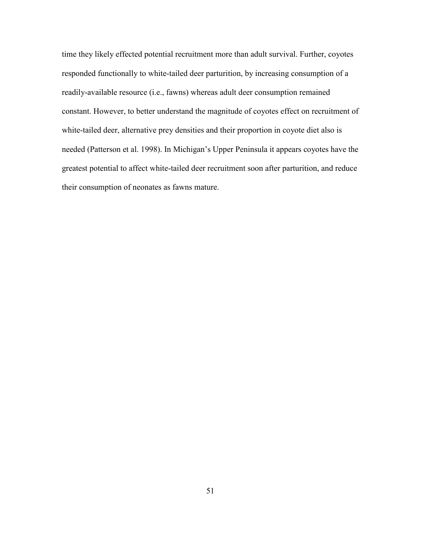time they likely effected potential recruitment more than adult survival. Further, coyotes responded functionally to white-tailed deer parturition, by increasing consumption of a readily-available resource (i.e., fawns) whereas adult deer consumption remained constant. However, to better understand the magnitude of coyotes effect on recruitment of white-tailed deer, alternative prey densities and their proportion in coyote diet also is needed (Patterson et al. 1998). In Michigan's Upper Peninsula it appears coyotes have the greatest potential to affect white-tailed deer recruitment soon after parturition, and reduce their consumption of neonates as fawns mature.